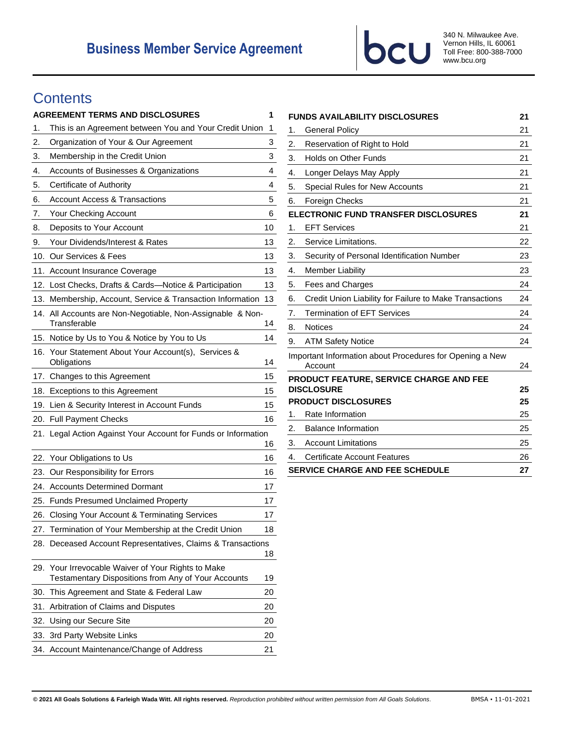

340 N. Milwaukee Ave. Vernon Hills, IL 60061 Toll Free: 800-388-7000 www.bcu.org

# **Contents**

|     | <b>AGREEMENT TERMS AND DISCLOSURES</b>                                                                    | 1  |
|-----|-----------------------------------------------------------------------------------------------------------|----|
| 1.  | This is an Agreement between You and Your Credit Union                                                    | 1  |
| 2.  | Organization of Your & Our Agreement                                                                      | 3  |
| 3.  | Membership in the Credit Union                                                                            | 3  |
| 4.  | Accounts of Businesses & Organizations                                                                    | 4  |
| 5.  | Certificate of Authority                                                                                  | 4  |
| 6.  | <b>Account Access &amp; Transactions</b>                                                                  | 5  |
| 7.  | Your Checking Account                                                                                     | 6  |
| 8.  | Deposits to Your Account                                                                                  | 10 |
| 9.  | Your Dividends/Interest & Rates                                                                           | 13 |
| 10. | Our Services & Fees                                                                                       | 13 |
| 11. | <b>Account Insurance Coverage</b>                                                                         | 13 |
| 12. | Lost Checks, Drafts & Cards-Notice & Participation                                                        | 13 |
| 13. | Membership, Account, Service & Transaction Information                                                    | 13 |
| 14. | All Accounts are Non-Negotiable, Non-Assignable & Non-<br>Transferable                                    | 14 |
| 15. | Notice by Us to You & Notice by You to Us                                                                 | 14 |
| 16. | Your Statement About Your Account(s), Services &<br>Obligations                                           | 14 |
| 17. | Changes to this Agreement                                                                                 | 15 |
| 18. | <b>Exceptions to this Agreement</b>                                                                       | 15 |
| 19. | Lien & Security Interest in Account Funds                                                                 | 15 |
|     | 20. Full Payment Checks                                                                                   | 16 |
|     | 21. Legal Action Against Your Account for Funds or Information                                            | 16 |
| 22. | Your Obligations to Us                                                                                    | 16 |
| 23. | Our Responsibility for Errors                                                                             | 16 |
| 24. | <b>Accounts Determined Dormant</b>                                                                        | 17 |
| 25. | <b>Funds Presumed Unclaimed Property</b>                                                                  | 17 |
|     | 26. Closing Your Account & Terminating Services                                                           | 17 |
|     | 27. Termination of Your Membership at the Credit Union                                                    | 18 |
|     | 28. Deceased Account Representatives, Claims & Transactions                                               | 18 |
|     | 29. Your Irrevocable Waiver of Your Rights to Make<br>Testamentary Dispositions from Any of Your Accounts | 19 |
| 30. | This Agreement and State & Federal Law                                                                    | 20 |
| 31. | Arbitration of Claims and Disputes                                                                        | 20 |
| 32. | Using our Secure Site                                                                                     | 20 |
| 33. | 3rd Party Website Links                                                                                   | 20 |
| 34. | Account Maintenance/Change of Address                                                                     | 21 |

|                                                                     | <b>FUNDS AVAILABILITY DISCLOSURES</b>                   | 21 |
|---------------------------------------------------------------------|---------------------------------------------------------|----|
| 1.                                                                  | <b>General Policy</b>                                   | 21 |
| 2.                                                                  | Reservation of Right to Hold                            | 21 |
| 3.                                                                  | <b>Holds on Other Funds</b>                             | 21 |
| 4.                                                                  | Longer Delays May Apply                                 | 21 |
| 5.                                                                  | Special Rules for New Accounts                          | 21 |
| 6.                                                                  | Foreign Checks                                          | 21 |
|                                                                     | ELECTRONIC FUND TRANSFER DISCLOSURES                    |    |
| 1.                                                                  | <b>EFT Services</b>                                     | 21 |
| 2.                                                                  | Service Limitations.                                    | 22 |
| 3.                                                                  | Security of Personal Identification Number              | 23 |
| 4.                                                                  | <b>Member Liability</b>                                 | 23 |
| 5.                                                                  | Fees and Charges                                        | 24 |
| 6.                                                                  | Credit Union Liability for Failure to Make Transactions | 24 |
| 7.                                                                  | <b>Termination of EFT Services</b>                      | 24 |
| 8.                                                                  | <b>Notices</b>                                          | 24 |
| 9.                                                                  | <b>ATM Safety Notice</b>                                | 24 |
| Important Information about Procedures for Opening a New<br>Account |                                                         | 24 |
|                                                                     | PRODUCT FEATURE, SERVICE CHARGE AND FEE                 |    |
|                                                                     | <b>DISCLOSURE</b>                                       | 25 |
|                                                                     | <b>PRODUCT DISCLOSURES</b>                              | 25 |
| 1.                                                                  | Rate Information                                        | 25 |
| 2.                                                                  | <b>Balance Information</b>                              | 25 |
| 3.                                                                  | <b>Account Limitations</b>                              | 25 |
| 4.                                                                  | <b>Certificate Account Features</b>                     | 26 |
| <b>SERVICE CHARGE AND FEE SCHEDULE</b>                              |                                                         | 27 |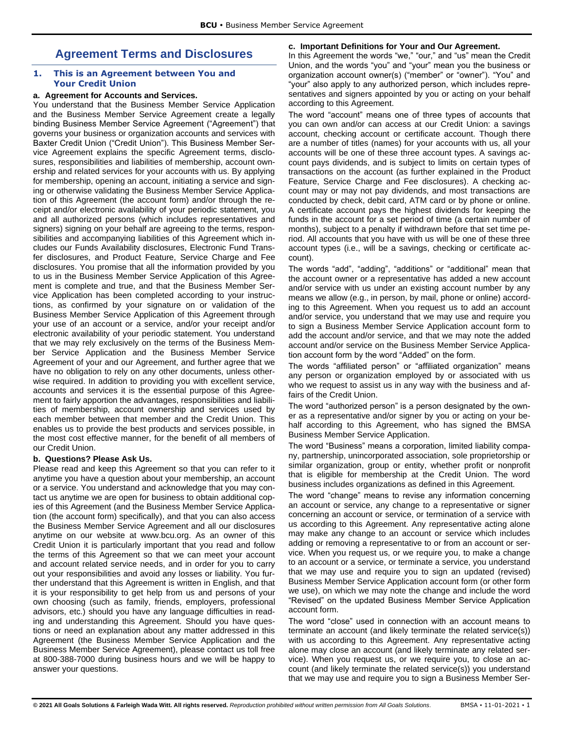# <span id="page-1-0"></span>**Agreement Terms and Disclosures**

## <span id="page-1-1"></span>**1. This is an Agreement between You and Your Credit Union**

## **a. Agreement for Accounts and Services.**

You understand that the Business Member Service Application and the Business Member Service Agreement create a legally binding Business Member Service Agreement ("Agreement") that governs your business or organization accounts and services with Baxter Credit Union ("Credit Union"). This Business Member Service Agreement explains the specific Agreement terms, disclosures, responsibilities and liabilities of membership, account ownership and related services for your accounts with us. By applying for membership, opening an account, initiating a service and signing or otherwise validating the Business Member Service Application of this Agreement (the account form) and/or through the receipt and/or electronic availability of your periodic statement, you and all authorized persons (which includes representatives and signers) signing on your behalf are agreeing to the terms, responsibilities and accompanying liabilities of this Agreement which includes our Funds Availability disclosures, Electronic Fund Transfer disclosures, and Product Feature, Service Charge and Fee disclosures. You promise that all the information provided by you to us in the Business Member Service Application of this Agreement is complete and true, and that the Business Member Service Application has been completed according to your instructions, as confirmed by your signature on or validation of the Business Member Service Application of this Agreement through your use of an account or a service, and/or your receipt and/or electronic availability of your periodic statement. You understand that we may rely exclusively on the terms of the Business Member Service Application and the Business Member Service Agreement of your and our Agreement, and further agree that we have no obligation to rely on any other documents, unless otherwise required. In addition to providing you with excellent service, accounts and services it is the essential purpose of this Agreement to fairly apportion the advantages, responsibilities and liabilities of membership, account ownership and services used by each member between that member and the Credit Union. This enables us to provide the best products and services possible, in the most cost effective manner, for the benefit of all members of our Credit Union.

## **b. Questions? Please Ask Us.**

Please read and keep this Agreement so that you can refer to it anytime you have a question about your membership, an account or a service. You understand and acknowledge that you may contact us anytime we are open for business to obtain additional copies of this Agreement (and the Business Member Service Application (the account form) specifically), and that you can also access the Business Member Service Agreement and all our disclosures anytime on our website at www.bcu.org. As an owner of this Credit Union it is particularly important that you read and follow the terms of this Agreement so that we can meet your account and account related service needs, and in order for you to carry out your responsibilities and avoid any losses or liability. You further understand that this Agreement is written in English, and that it is your responsibility to get help from us and persons of your own choosing (such as family, friends, employers, professional advisors, etc.) should you have any language difficulties in reading and understanding this Agreement. Should you have questions or need an explanation about any matter addressed in this Agreement (the Business Member Service Application and the Business Member Service Agreement), please contact us toll free at 800-388-7000 during business hours and we will be happy to answer your questions.

## **c. Important Definitions for Your and Our Agreement.**

In this Agreement the words "we," "our," and "us" mean the Credit Union, and the words "you" and "your" mean you the business or organization account owner(s) ("member" or "owner"). "You" and "your" also apply to any authorized person, which includes representatives and signers appointed by you or acting on your behalf according to this Agreement.

The word "account" means one of three types of accounts that you can own and/or can access at our Credit Union: a savings account, checking account or certificate account. Though there are a number of titles (names) for your accounts with us, all your accounts will be one of these three account types. A savings account pays dividends, and is subject to limits on certain types of transactions on the account (as further explained in the Product Feature, Service Charge and Fee disclosures). A checking account may or may not pay dividends, and most transactions are conducted by check, debit card, ATM card or by phone or online. A certificate account pays the highest dividends for keeping the funds in the account for a set period of time (a certain number of months), subject to a penalty if withdrawn before that set time period. All accounts that you have with us will be one of these three account types (i.e., will be a savings, checking or certificate account).

The words "add", "adding", "additions" or "additional" mean that the account owner or a representative has added a new account and/or service with us under an existing account number by any means we allow (e.g., in person, by mail, phone or online) according to this Agreement. When you request us to add an account and/or service, you understand that we may use and require you to sign a Business Member Service Application account form to add the account and/or service, and that we may note the added account and/or service on the Business Member Service Application account form by the word "Added" on the form.

The words "affiliated person" or "affiliated organization" means any person or organization employed by or associated with us who we request to assist us in any way with the business and affairs of the Credit Union.

The word "authorized person" is a person designated by the owner as a representative and/or signer by you or acting on your behalf according to this Agreement, who has signed the BMSA Business Member Service Application.

The word "Business" means a corporation, limited liability company, partnership, unincorporated association, sole proprietorship or similar organization, group or entity, whether profit or nonprofit that is eligible for membership at the Credit Union. The word business includes organizations as defined in this Agreement.

The word "change" means to revise any information concerning an account or service, any change to a representative or signer concerning an account or service, or termination of a service with us according to this Agreement. Any representative acting alone may make any change to an account or service which includes adding or removing a representative to or from an account or service. When you request us, or we require you, to make a change to an account or a service, or terminate a service, you understand that we may use and require you to sign an updated (revised) Business Member Service Application account form (or other form we use), on which we may note the change and include the word "Revised" on the updated Business Member Service Application account form.

The word "close" used in connection with an account means to terminate an account (and likely terminate the related service(s)) with us according to this Agreement. Any representative acting alone may close an account (and likely terminate any related service). When you request us, or we require you, to close an account (and likely terminate the related service(s)) you understand that we may use and require you to sign a Business Member Ser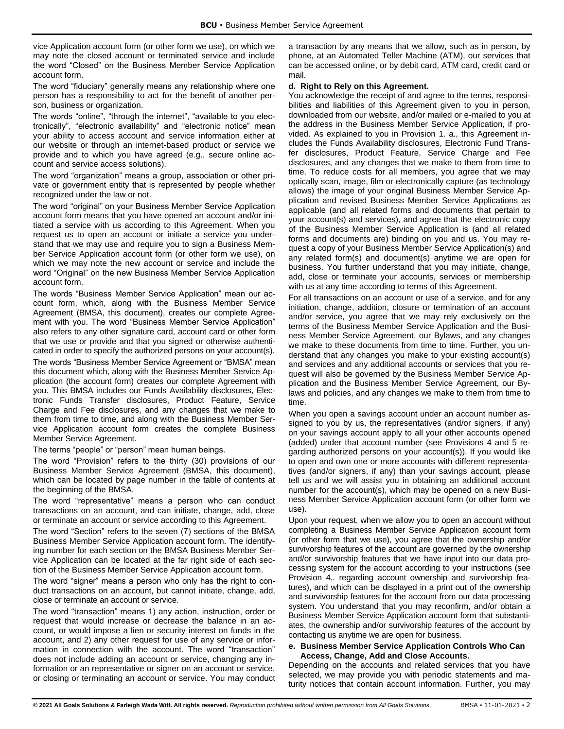vice Application account form (or other form we use), on which we may note the closed account or terminated service and include the word "Closed" on the Business Member Service Application account form.

The word "fiduciary" generally means any relationship where one person has a responsibility to act for the benefit of another person, business or organization.

The words "online", "through the internet", "available to you electronically", "electronic availability" and "electronic notice" mean your ability to access account and service information either at our website or through an internet-based product or service we provide and to which you have agreed (e.g., secure online account and service access solutions).

The word "organization" means a group, association or other private or government entity that is represented by people whether recognized under the law or not.

The word "original" on your Business Member Service Application account form means that you have opened an account and/or initiated a service with us according to this Agreement. When you request us to open an account or initiate a service you understand that we may use and require you to sign a Business Member Service Application account form (or other form we use), on which we may note the new account or service and include the word "Original" on the new Business Member Service Application account form.

The words "Business Member Service Application" mean our account form, which, along with the Business Member Service Agreement (BMSA, this document), creates our complete Agreement with you. The word "Business Member Service Application" also refers to any other signature card, account card or other form that we use or provide and that you signed or otherwise authenticated in order to specify the authorized persons on your account(s).

The words "Business Member Service Agreement or "BMSA" mean this document which, along with the Business Member Service Application (the account form) creates our complete Agreement with you. This BMSA includes our Funds Availability disclosures, Electronic Funds Transfer disclosures, Product Feature, Service Charge and Fee disclosures, and any changes that we make to them from time to time, and along with the Business Member Service Application account form creates the complete Business Member Service Agreement.

The terms "people" or "person" mean human beings.

The word "Provision" refers to the thirty (30) provisions of our Business Member Service Agreement (BMSA, this document), which can be located by page number in the table of contents at the beginning of the BMSA.

The word "representative" means a person who can conduct transactions on an account, and can initiate, change, add, close or terminate an account or service according to this Agreement.

The word "Section" refers to the seven (7) sections of the BMSA Business Member Service Application account form. The identifying number for each section on the BMSA Business Member Service Application can be located at the far right side of each section of the Business Member Service Application account form.

The word "signer" means a person who only has the right to conduct transactions on an account, but cannot initiate, change, add, close or terminate an account or service.

The word "transaction" means 1) any action, instruction, order or request that would increase or decrease the balance in an account, or would impose a lien or security interest on funds in the account, and 2) any other request for use of any service or information in connection with the account. The word "transaction" does not include adding an account or service, changing any information or an representative or signer on an account or service, or closing or terminating an account or service. You may conduct a transaction by any means that we allow, such as in person, by phone, at an Automated Teller Machine (ATM), our services that can be accessed online, or by debit card, ATM card, credit card or mail.

## **d. Right to Rely on this Agreement.**

You acknowledge the receipt of and agree to the terms, responsibilities and liabilities of this Agreement given to you in person, downloaded from our website, and/or mailed or e-mailed to you at the address in the Business Member Service Application, if provided. As explained to you in Provision 1. a., this Agreement includes the Funds Availability disclosures, Electronic Fund Transfer disclosures, Product Feature, Service Charge and Fee disclosures, and any changes that we make to them from time to time. To reduce costs for all members, you agree that we may optically scan, image, film or electronically capture (as technology allows) the image of your original Business Member Service Application and revised Business Member Service Applications as applicable (and all related forms and documents that pertain to your account(s) and services), and agree that the electronic copy of the Business Member Service Application is (and all related forms and documents are) binding on you and us. You may request a copy of your Business Member Service Application(s) and any related form(s) and document(s) anytime we are open for business. You further understand that you may initiate, change, add, close or terminate your accounts, services or membership with us at any time according to terms of this Agreement.

For all transactions on an account or use of a service, and for any initiation, change, addition, closure or termination of an account and/or service, you agree that we may rely exclusively on the terms of the Business Member Service Application and the Business Member Service Agreement, our Bylaws, and any changes we make to these documents from time to time. Further, you understand that any changes you make to your existing account(s) and services and any additional accounts or services that you request will also be governed by the Business Member Service Application and the Business Member Service Agreement, our Bylaws and policies, and any changes we make to them from time to time.

When you open a savings account under an account number assigned to you by us, the representatives (and/or signers, if any) on your savings account apply to all your other accounts opened (added) under that account number (see Provisions 4 and 5 regarding authorized persons on your account(s)). If you would like to open and own one or more accounts with different representatives (and/or signers, if any) than your savings account, please tell us and we will assist you in obtaining an additional account number for the account(s), which may be opened on a new Business Member Service Application account form (or other form we use).

Upon your request, when we allow you to open an account without completing a Business Member Service Application account form (or other form that we use), you agree that the ownership and/or survivorship features of the account are governed by the ownership and/or survivorship features that we have input into our data processing system for the account according to your instructions (see Provision 4,. regarding account ownership and survivorship features), and which can be displayed in a print out of the ownership and survivorship features for the account from our data processing system. You understand that you may reconfirm, and/or obtain a Business Member Service Application account form that substantiates, the ownership and/or survivorship features of the account by contacting us anytime we are open for business.

## **e. Business Member Service Application Controls Who Can Access, Change, Add and Close Accounts.**

Depending on the accounts and related services that you have selected, we may provide you with periodic statements and maturity notices that contain account information. Further, you may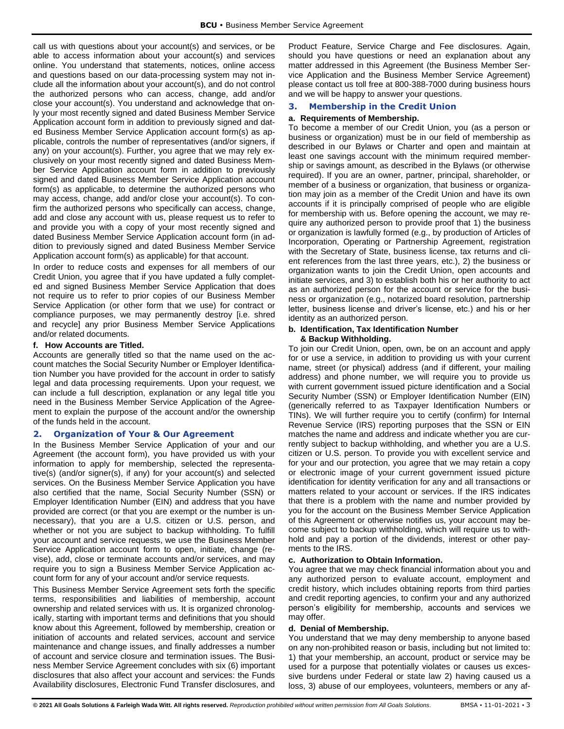call us with questions about your account(s) and services, or be able to access information about your account(s) and services online. You understand that statements, notices, online access and questions based on our data-processing system may not include all the information about your account(s), and do not control the authorized persons who can access, change, add and/or close your account(s). You understand and acknowledge that only your most recently signed and dated Business Member Service Application account form in addition to previously signed and dated Business Member Service Application account form(s) as applicable, controls the number of representatives (and/or signers, if any) on your account(s). Further, you agree that we may rely exclusively on your most recently signed and dated Business Member Service Application account form in addition to previously signed and dated Business Member Service Application account form(s) as applicable, to determine the authorized persons who may access, change, add and/or close your account(s). To confirm the authorized persons who specifically can access, change, add and close any account with us, please request us to refer to and provide you with a copy of your most recently signed and dated Business Member Service Application account form (in addition to previously signed and dated Business Member Service Application account form(s) as applicable) for that account.

In order to reduce costs and expenses for all members of our Credit Union, you agree that if you have updated a fully completed and signed Business Member Service Application that does not require us to refer to prior copies of our Business Member Service Application (or other form that we use) for contract or compliance purposes, we may permanently destroy [i.e. shred and recycle] any prior Business Member Service Applications and/or related documents.

#### **f. How Accounts are Titled.**

Accounts are generally titled so that the name used on the account matches the Social Security Number or Employer Identification Number you have provided for the account in order to satisfy legal and data processing requirements. Upon your request, we can include a full description, explanation or any legal title you need in the Business Member Service Application of the Agreement to explain the purpose of the account and/or the ownership of the funds held in the account.

#### <span id="page-3-0"></span>**2. Organization of Your & Our Agreement**

In the Business Member Service Application of your and our Agreement (the account form), you have provided us with your information to apply for membership, selected the representative(s) (and/or signer(s), if any) for your account(s) and selected services. On the Business Member Service Application you have also certified that the name, Social Security Number (SSN) or Employer Identification Number (EIN) and address that you have provided are correct (or that you are exempt or the number is unnecessary), that you are a U.S. citizen or U.S. person, and whether or not you are subject to backup withholding. To fulfill your account and service requests, we use the Business Member Service Application account form to open, initiate, change (revise), add, close or terminate accounts and/or services, and may require you to sign a Business Member Service Application account form for any of your account and/or service requests.

This Business Member Service Agreement sets forth the specific terms, responsibilities and liabilities of membership, account ownership and related services with us. It is organized chronologically, starting with important terms and definitions that you should know about this Agreement, followed by membership, creation or initiation of accounts and related services, account and service maintenance and change issues, and finally addresses a number of account and service closure and termination issues. The Business Member Service Agreement concludes with six (6) important disclosures that also affect your account and services: the Funds Availability disclosures, Electronic Fund Transfer disclosures, and Product Feature, Service Charge and Fee disclosures. Again, should you have questions or need an explanation about any matter addressed in this Agreement (the Business Member Service Application and the Business Member Service Agreement) please contact us toll free at 800-388-7000 during business hours and we will be happy to answer your questions.

#### <span id="page-3-1"></span>**3. Membership in the Credit Union**

#### **a. Requirements of Membership.**

To become a member of our Credit Union, you (as a person or business or organization) must be in our field of membership as described in our Bylaws or Charter and open and maintain at least one savings account with the minimum required membership or savings amount, as described in the Bylaws (or otherwise required). If you are an owner, partner, principal, shareholder, or member of a business or organization, that business or organization may join as a member of the Credit Union and have its own accounts if it is principally comprised of people who are eligible for membership with us. Before opening the account, we may require any authorized person to provide proof that 1) the business or organization is lawfully formed (e.g., by production of Articles of Incorporation, Operating or Partnership Agreement, registration with the Secretary of State, business license, tax returns and client references from the last three years, etc.), 2) the business or organization wants to join the Credit Union, open accounts and initiate services, and 3) to establish both his or her authority to act as an authorized person for the account or service for the business or organization (e.g., notarized board resolution, partnership letter, business license and driver's license, etc.) and his or her identity as an authorized person.

#### **b. Identification, Tax Identification Number & Backup Withholding.**

To join our Credit Union, open, own, be on an account and apply for or use a service, in addition to providing us with your current name, street (or physical) address (and if different, your mailing address) and phone number, we will require you to provide us with current government issued picture identification and a Social Security Number (SSN) or Employer Identification Number (EIN) (generically referred to as Taxpayer Identification Numbers or TINs). We will further require you to certify (confirm) for Internal Revenue Service (IRS) reporting purposes that the SSN or EIN matches the name and address and indicate whether you are currently subject to backup withholding, and whether you are a U.S. citizen or U.S. person. To provide you with excellent service and for your and our protection, you agree that we may retain a copy or electronic image of your current government issued picture identification for identity verification for any and all transactions or matters related to your account or services. If the IRS indicates that there is a problem with the name and number provided by you for the account on the Business Member Service Application of this Agreement or otherwise notifies us, your account may become subject to backup withholding, which will require us to withhold and pay a portion of the dividends, interest or other payments to the IRS.

#### **c. Authorization to Obtain Information.**

You agree that we may check financial information about you and any authorized person to evaluate account, employment and credit history, which includes obtaining reports from third parties and credit reporting agencies, to confirm your and any authorized person's eligibility for membership, accounts and services we may offer.

#### **d. Denial of Membership.**

You understand that we may deny membership to anyone based on any non-prohibited reason or basis, including but not limited to: 1) that your membership, an account, product or service may be used for a purpose that potentially violates or causes us excessive burdens under Federal or state law 2) having caused us a loss, 3) abuse of our employees, volunteers, members or any af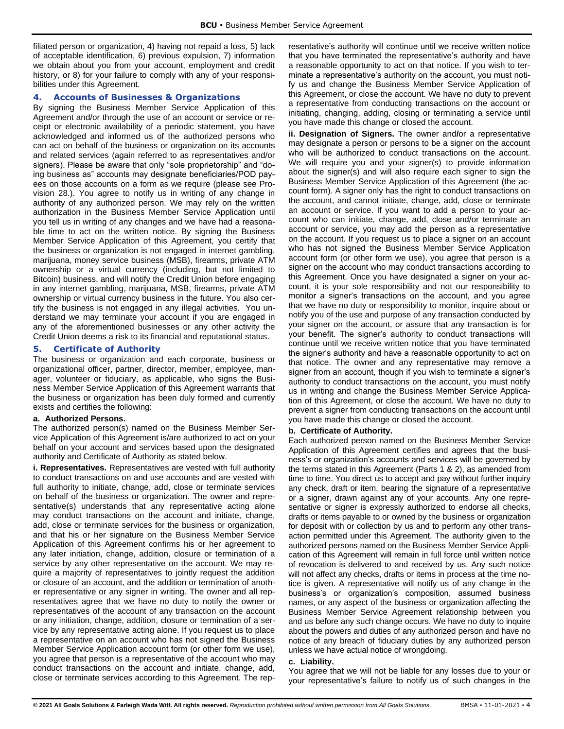filiated person or organization, 4) having not repaid a loss, 5) lack of acceptable identification, 6) previous expulsion, 7) information we obtain about you from your account, employment and credit history, or 8) for your failure to comply with any of your responsibilities under this Agreement.

## <span id="page-4-0"></span>**4. Accounts of Businesses & Organizations**

By signing the Business Member Service Application of this Agreement and/or through the use of an account or service or receipt or electronic availability of a periodic statement, you have acknowledged and informed us of the authorized persons who can act on behalf of the business or organization on its accounts and related services (again referred to as representatives and/or signers). Please be aware that only "sole proprietorship" and "doing business as" accounts may designate beneficiaries/POD payees on those accounts on a form as we require (please see Provision 28.). You agree to notify us in writing of any change in authority of any authorized person. We may rely on the written authorization in the Business Member Service Application until you tell us in writing of any changes and we have had a reasonable time to act on the written notice. By signing the Business Member Service Application of this Agreement, you certify that the business or organization is not engaged in internet gambling, marijuana, money service business (MSB), firearms, private ATM ownership or a virtual currency (including, but not limited to Bitcoin) business, and will notify the Credit Union before engaging in any internet gambling, marijuana, MSB, firearms, private ATM ownership or virtual currency business in the future. You also certify the business is not engaged in any illegal activities. You understand we may terminate your account if you are engaged in any of the aforementioned businesses or any other activity the Credit Union deems a risk to its financial and reputational status.

# <span id="page-4-1"></span>**5. Certificate of Authority**

The business or organization and each corporate, business or organizational officer, partner, director, member, employee, manager, volunteer or fiduciary, as applicable, who signs the Business Member Service Application of this Agreement warrants that the business or organization has been duly formed and currently exists and certifies the following:

## **a. Authorized Persons.**

The authorized person(s) named on the Business Member Service Application of this Agreement is/are authorized to act on your behalf on your account and services based upon the designated authority and Certificate of Authority as stated below.

**i. Representatives.** Representatives are vested with full authority to conduct transactions on and use accounts and are vested with full authority to initiate, change, add, close or terminate services on behalf of the business or organization. The owner and representative(s) understands that any representative acting alone may conduct transactions on the account and initiate, change, add, close or terminate services for the business or organization, and that his or her signature on the Business Member Service Application of this Agreement confirms his or her agreement to any later initiation, change, addition, closure or termination of a service by any other representative on the account. We may require a majority of representatives to jointly request the addition or closure of an account, and the addition or termination of another representative or any signer in writing. The owner and all representatives agree that we have no duty to notify the owner or representatives of the account of any transaction on the account or any initiation, change, addition, closure or termination of a service by any representative acting alone. If you request us to place a representative on an account who has not signed the Business Member Service Application account form (or other form we use), you agree that person is a representative of the account who may conduct transactions on the account and initiate, change, add, close or terminate services according to this Agreement. The representative's authority will continue until we receive written notice that you have terminated the representative's authority and have a reasonable opportunity to act on that notice. If you wish to terminate a representative's authority on the account, you must notify us and change the Business Member Service Application of this Agreement, or close the account. We have no duty to prevent a representative from conducting transactions on the account or initiating, changing, adding, closing or terminating a service until you have made this change or closed the account.

**ii. Designation of Signers.** The owner and**/**or a representative may designate a person or persons to be a signer on the account who will be authorized to conduct transactions on the account. We will require you and your signer(s) to provide information about the signer(s) and will also require each signer to sign the Business Member Service Application of this Agreement (the account form). A signer only has the right to conduct transactions on the account, and cannot initiate, change, add, close or terminate an account or service. If you want to add a person to your account who can initiate, change, add, close and/or terminate an account or service, you may add the person as a representative on the account. If you request us to place a signer on an account who has not signed the Business Member Service Application account form (or other form we use), you agree that person is a signer on the account who may conduct transactions according to this Agreement. Once you have designated a signer on your account, it is your sole responsibility and not our responsibility to monitor a signer's transactions on the account, and you agree that we have no duty or responsibility to monitor, inquire about or notify you of the use and purpose of any transaction conducted by your signer on the account, or assure that any transaction is for your benefit. The signer's authority to conduct transactions will continue until we receive written notice that you have terminated the signer's authority and have a reasonable opportunity to act on that notice. The owner and any representative may remove a signer from an account, though if you wish to terminate a signer's authority to conduct transactions on the account, you must notify us in writing and change the Business Member Service Application of this Agreement, or close the account. We have no duty to prevent a signer from conducting transactions on the account until you have made this change or closed the account.

#### **b. Certificate of Authority.**

Each authorized person named on the Business Member Service Application of this Agreement certifies and agrees that the business's or organization's accounts and services will be governed by the terms stated in this Agreement (Parts 1 & 2), as amended from time to time. You direct us to accept and pay without further inquiry any check, draft or item, bearing the signature of a representative or a signer, drawn against any of your accounts. Any one representative or signer is expressly authorized to endorse all checks, drafts or items payable to or owned by the business or organization for deposit with or collection by us and to perform any other transaction permitted under this Agreement. The authority given to the authorized persons named on the Business Member Service Application of this Agreement will remain in full force until written notice of revocation is delivered to and received by us. Any such notice will not affect any checks, drafts or items in process at the time notice is given. A representative will notify us of any change in the business's or organization's composition, assumed business names, or any aspect of the business or organization affecting the Business Member Service Agreement relationship between you and us before any such change occurs. We have no duty to inquire about the powers and duties of any authorized person and have no notice of any breach of fiduciary duties by any authorized person unless we have actual notice of wrongdoing.

## **c. Liability.**

You agree that we will not be liable for any losses due to your or your representative's failure to notify us of such changes in the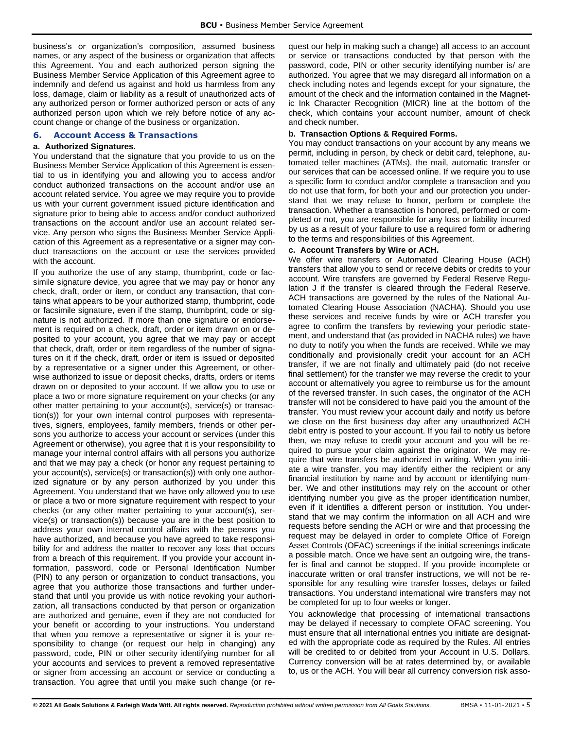business's or organization's composition, assumed business names, or any aspect of the business or organization that affects this Agreement. You and each authorized person signing the Business Member Service Application of this Agreement agree to indemnify and defend us against and hold us harmless from any loss, damage, claim or liability as a result of unauthorized acts of any authorized person or former authorized person or acts of any authorized person upon which we rely before notice of any account change or change of the business or organization.

## <span id="page-5-0"></span>**6. Account Access & Transactions**

## **a. Authorized Signatures.**

You understand that the signature that you provide to us on the Business Member Service Application of this Agreement is essential to us in identifying you and allowing you to access and/or conduct authorized transactions on the account and/or use an account related service. You agree we may require you to provide us with your current government issued picture identification and signature prior to being able to access and/or conduct authorized transactions on the account and/or use an account related service. Any person who signs the Business Member Service Application of this Agreement as a representative or a signer may conduct transactions on the account or use the services provided with the account.

If you authorize the use of any stamp, thumbprint, code or facsimile signature device, you agree that we may pay or honor any check, draft, order or item, or conduct any transaction, that contains what appears to be your authorized stamp, thumbprint, code or facsimile signature, even if the stamp, thumbprint, code or signature is not authorized. If more than one signature or endorsement is required on a check, draft, order or item drawn on or deposited to your account, you agree that we may pay or accept that check, draft, order or item regardless of the number of signatures on it if the check, draft, order or item is issued or deposited by a representative or a signer under this Agreement, or otherwise authorized to issue or deposit checks, drafts, orders or items drawn on or deposited to your account. If we allow you to use or place a two or more signature requirement on your checks (or any other matter pertaining to your account(s), service(s) or transaction(s)) for your own internal control purposes with representatives, signers, employees, family members, friends or other persons you authorize to access your account or services (under this Agreement or otherwise), you agree that it is your responsibility to manage your internal control affairs with all persons you authorize and that we may pay a check (or honor any request pertaining to your account(s), service(s) or transaction(s)) with only one authorized signature or by any person authorized by you under this Agreement. You understand that we have only allowed you to use or place a two or more signature requirement with respect to your checks (or any other matter pertaining to your account(s), service(s) or transaction(s)) because you are in the best position to address your own internal control affairs with the persons you have authorized, and because you have agreed to take responsibility for and address the matter to recover any loss that occurs from a breach of this requirement. If you provide your account information, password, code or Personal Identification Number (PIN) to any person or organization to conduct transactions, you agree that you authorize those transactions and further understand that until you provide us with notice revoking your authorization, all transactions conducted by that person or organization are authorized and genuine, even if they are not conducted for your benefit or according to your instructions. You understand that when you remove a representative or signer it is your responsibility to change (or request our help in changing) any password, code, PIN or other security identifying number for all your accounts and services to prevent a removed representative or signer from accessing an account or service or conducting a transaction. You agree that until you make such change (or request our help in making such a change) all access to an account or service or transactions conducted by that person with the password, code, PIN or other security identifying number is/ are authorized. You agree that we may disregard all information on a check including notes and legends except for your signature, the amount of the check and the information contained in the Magnetic Ink Character Recognition (MICR) line at the bottom of the check, which contains your account number, amount of check and check number.

#### **b. Transaction Options & Required Forms.**

You may conduct transactions on your account by any means we permit, including in person, by check or debit card, telephone, automated teller machines (ATMs), the mail, automatic transfer or our services that can be accessed online. If we require you to use a specific form to conduct and/or complete a transaction and you do not use that form, for both your and our protection you understand that we may refuse to honor, perform or complete the transaction. Whether a transaction is honored, performed or completed or not, you are responsible for any loss or liability incurred by us as a result of your failure to use a required form or adhering to the terms and responsibilities of this Agreement.

#### **c. Account Transfers by Wire or ACH.**

We offer wire transfers or Automated Clearing House (ACH) transfers that allow you to send or receive debits or credits to your account. Wire transfers are governed by Federal Reserve Regulation J if the transfer is cleared through the Federal Reserve. ACH transactions are governed by the rules of the National Automated Clearing House Association (NACHA). Should you use these services and receive funds by wire or ACH transfer you agree to confirm the transfers by reviewing your periodic statement, and understand that (as provided in NACHA rules) we have no duty to notify you when the funds are received. While we may conditionally and provisionally credit your account for an ACH transfer, if we are not finally and ultimately paid (do not receive final settlement) for the transfer we may reverse the credit to your account or alternatively you agree to reimburse us for the amount of the reversed transfer. In such cases, the originator of the ACH transfer will not be considered to have paid you the amount of the transfer. You must review your account daily and notify us before we close on the first business day after any unauthorized ACH debit entry is posted to your account. If you fail to notify us before then, we may refuse to credit your account and you will be required to pursue your claim against the originator. We may require that wire transfers be authorized in writing. When you initiate a wire transfer, you may identify either the recipient or any financial institution by name and by account or identifying number. We and other institutions may rely on the account or other identifying number you give as the proper identification number, even if it identifies a different person or institution. You understand that we may confirm the information on all ACH and wire requests before sending the ACH or wire and that processing the request may be delayed in order to complete Office of Foreign Asset Controls (OFAC) screenings if the initial screenings indicate a possible match. Once we have sent an outgoing wire, the transfer is final and cannot be stopped. If you provide incomplete or inaccurate written or oral transfer instructions, we will not be responsible for any resulting wire transfer losses, delays or failed transactions. You understand international wire transfers may not be completed for up to four weeks or longer.

You acknowledge that processing of international transactions may be delayed if necessary to complete OFAC screening. You must ensure that all international entries you initiate are designated with the appropriate code as required by the Rules. All entries will be credited to or debited from your Account in U.S. Dollars. Currency conversion will be at rates determined by, or available to, us or the ACH. You will bear all currency conversion risk asso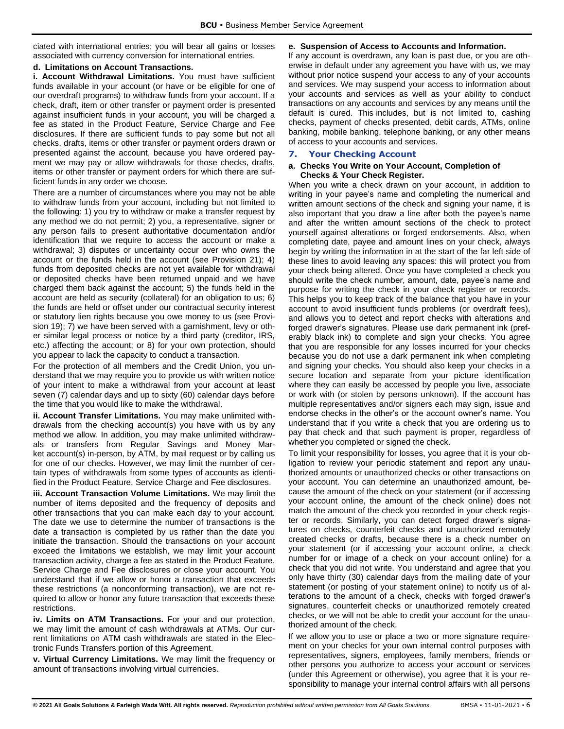ciated with international entries; you will bear all gains or losses associated with currency conversion for international entries.

## **d. Limitations on Account Transactions.**

**i. Account Withdrawal Limitations.** You must have sufficient funds available in your account (or have or be eligible for one of our overdraft programs) to withdraw funds from your account. If a check, draft, item or other transfer or payment order is presented against insufficient funds in your account, you will be charged a fee as stated in the Product Feature, Service Charge and Fee disclosures. If there are sufficient funds to pay some but not all checks, drafts, items or other transfer or payment orders drawn or presented against the account, because you have ordered payment we may pay or allow withdrawals for those checks, drafts, items or other transfer or payment orders for which there are sufficient funds in any order we choose.

There are a number of circumstances where you may not be able to withdraw funds from your account, including but not limited to the following: 1) you try to withdraw or make a transfer request by any method we do not permit; 2) you, a representative, signer or any person fails to present authoritative documentation and/or identification that we require to access the account or make a withdrawal; 3) disputes or uncertainty occur over who owns the account or the funds held in the account (see Provision 21); 4) funds from deposited checks are not yet available for withdrawal or deposited checks have been returned unpaid and we have charged them back against the account; 5) the funds held in the account are held as security (collateral) for an obligation to us; 6) the funds are held or offset under our contractual security interest or statutory lien rights because you owe money to us (see Provision 19); 7) we have been served with a garnishment, levy or other similar legal process or notice by a third party (creditor, IRS, etc.) affecting the account; or 8) for your own protection, should you appear to lack the capacity to conduct a transaction.

For the protection of all members and the Credit Union, you understand that we may require you to provide us with written notice of your intent to make a withdrawal from your account at least seven (7) calendar days and up to sixty (60) calendar days before the time that you would like to make the withdrawal.

**ii. Account Transfer Limitations.** You may make unlimited withdrawals from the checking account(s) you have with us by any method we allow. In addition, you may make unlimited withdrawals or transfers from Regular Savings and Money Market account(s) in-person, by ATM, by mail request or by calling us for one of our checks. However, we may limit the number of certain types of withdrawals from some types of accounts as identified in the Product Feature, Service Charge and Fee disclosures.

**iii. Account Transaction Volume Limitations.** We may limit the number of items deposited and the frequency of deposits and other transactions that you can make each day to your account. The date we use to determine the number of transactions is the date a transaction is completed by us rather than the date you initiate the transaction. Should the transactions on your account exceed the limitations we establish, we may limit your account transaction activity, charge a fee as stated in the Product Feature, Service Charge and Fee disclosures or close your account. You understand that if we allow or honor a transaction that exceeds these restrictions (a nonconforming transaction), we are not required to allow or honor any future transaction that exceeds these restrictions.

**iv. Limits on ATM Transactions.** For your and our protection, we may limit the amount of cash withdrawals at ATMs. Our current limitations on ATM cash withdrawals are stated in the Electronic Funds Transfers portion of this Agreement.

**v. Virtual Currency Limitations.** We may limit the frequency or amount of transactions involving virtual currencies.

## **e. Suspension of Access to Accounts and Information.**

If any account is overdrawn, any loan is past due, or you are otherwise in default under any agreement you have with us, we may without prior notice suspend your access to any of your accounts and services. We may suspend your access to information about your accounts and services as well as your ability to conduct transactions on any accounts and services by any means until the default is cured. This includes, but is not limited to, cashing checks, payment of checks presented, debit cards, ATMs, online banking, mobile banking, telephone banking, or any other means of access to your accounts and services.

## <span id="page-6-0"></span>**7. Your Checking Account**

#### **a. Checks You Write on Your Account, Completion of Checks & Your Check Register.**

When you write a check drawn on your account, in addition to writing in your payee's name and completing the numerical and written amount sections of the check and signing your name, it is also important that you draw a line after both the payee's name and after the written amount sections of the check to protect yourself against alterations or forged endorsements. Also, when completing date, payee and amount lines on your check, always begin by writing the information in at the start of the far left side of these lines to avoid leaving any spaces: this will protect you from your check being altered. Once you have completed a check you should write the check number, amount, date, payee's name and purpose for writing the check in your check register or records. This helps you to keep track of the balance that you have in your account to avoid insufficient funds problems (or overdraft fees), and allows you to detect and report checks with alterations and forged drawer's signatures. Please use dark permanent ink (preferably black ink) to complete and sign your checks. You agree that you are responsible for any losses incurred for your checks because you do not use a dark permanent ink when completing and signing your checks. You should also keep your checks in a secure location and separate from your picture identification where they can easily be accessed by people you live, associate or work with (or stolen by persons unknown). If the account has multiple representatives and/or signers each may sign, issue and endorse checks in the other's or the account owner's name. You understand that if you write a check that you are ordering us to pay that check and that such payment is proper, regardless of whether you completed or signed the check.

To limit your responsibility for losses, you agree that it is your obligation to review your periodic statement and report any unauthorized amounts or unauthorized checks or other transactions on your account. You can determine an unauthorized amount, because the amount of the check on your statement (or if accessing your account online, the amount of the check online) does not match the amount of the check you recorded in your check register or records. Similarly, you can detect forged drawer's signatures on checks, counterfeit checks and unauthorized remotely created checks or drafts, because there is a check number on your statement (or if accessing your account online, a check number for or image of a check on your account online) for a check that you did not write. You understand and agree that you only have thirty (30) calendar days from the mailing date of your statement (or posting of your statement online) to notify us of alterations to the amount of a check, checks with forged drawer's signatures, counterfeit checks or unauthorized remotely created checks, or we will not be able to credit your account for the unauthorized amount of the check.

If we allow you to use or place a two or more signature requirement on your checks for your own internal control purposes with representatives, signers, employees, family members, friends or other persons you authorize to access your account or services (under this Agreement or otherwise), you agree that it is your responsibility to manage your internal control affairs with all persons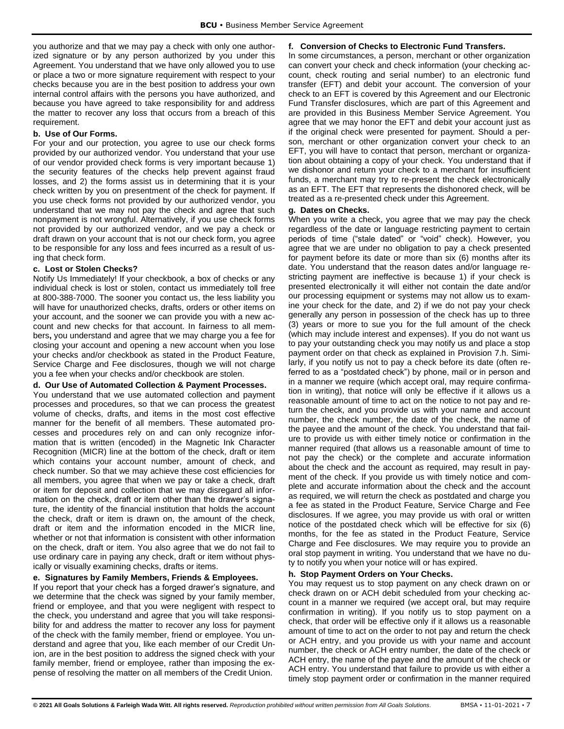you authorize and that we may pay a check with only one authorized signature or by any person authorized by you under this Agreement. You understand that we have only allowed you to use or place a two or more signature requirement with respect to your checks because you are in the best position to address your own internal control affairs with the persons you have authorized, and because you have agreed to take responsibility for and address the matter to recover any loss that occurs from a breach of this requirement.

#### **b. Use of Our Forms.**

For your and our protection, you agree to use our check forms provided by our authorized vendor. You understand that your use of our vendor provided check forms is very important because 1) the security features of the checks help prevent against fraud losses, and 2) the forms assist us in determining that it is your check written by you on presentment of the check for payment. If you use check forms not provided by our authorized vendor, you understand that we may not pay the check and agree that such nonpayment is not wrongful. Alternatively, if you use check forms not provided by our authorized vendor, and we pay a check or draft drawn on your account that is not our check form, you agree to be responsible for any loss and fees incurred as a result of using that check form.

## **c. Lost or Stolen Checks?**

Notify Us Immediately! If your checkbook, a box of checks or any individual check is lost or stolen, contact us immediately toll free at 800-388-7000. The sooner you contact us, the less liability you will have for unauthorized checks, drafts, orders or other items on your account, and the sooner we can provide you with a new account and new checks for that account. In fairness to all members**,** you understand and agree that we may charge you a fee for closing your account and opening a new account when you lose your checks and/or checkbook as stated in the Product Feature, Service Charge and Fee disclosures, though we will not charge you a fee when your checks and/or checkbook are stolen.

## **d. Our Use of Automated Collection & Payment Processes.**

You understand that we use automated collection and payment processes and procedures, so that we can process the greatest volume of checks, drafts, and items in the most cost effective manner for the benefit of all members. These automated processes and procedures rely on and can only recognize information that is written (encoded) in the Magnetic Ink Character Recognition (MICR) line at the bottom of the check, draft or item which contains your account number, amount of check, and check number. So that we may achieve these cost efficiencies for all members, you agree that when we pay or take a check, draft or item for deposit and collection that we may disregard all information on the check, draft or item other than the drawer's signature, the identity of the financial institution that holds the account the check, draft or item is drawn on, the amount of the check, draft or item and the information encoded in the MICR line, whether or not that information is consistent with other information on the check, draft or item. You also agree that we do not fail to use ordinary care in paying any check, draft or item without physically or visually examining checks, drafts or items.

## **e. Signatures by Family Members, Friends & Employees.**

If you report that your check has a forged drawer's signature, and we determine that the check was signed by your family member, friend or employee, and that you were negligent with respect to the check, you understand and agree that you will take responsibility for and address the matter to recover any loss for payment of the check with the family member, friend or employee. You understand and agree that you, like each member of our Credit Union, are in the best position to address the signed check with your family member, friend or employee, rather than imposing the expense of resolving the matter on all members of the Credit Union.

## **f. Conversion of Checks to Electronic Fund Transfers.**

In some circumstances, a person, merchant or other organization can convert your check and check information (your checking account, check routing and serial number) to an electronic fund transfer (EFT) and debit your account. The conversion of your check to an EFT is covered by this Agreement and our Electronic Fund Transfer disclosures, which are part of this Agreement and are provided in this Business Member Service Agreement. You agree that we may honor the EFT and debit your account just as if the original check were presented for payment. Should a person, merchant or other organization convert your check to an EFT, you will have to contact that person, merchant or organization about obtaining a copy of your check. You understand that if we dishonor and return your check to a merchant for insufficient funds, a merchant may try to re-present the check electronically as an EFT. The EFT that represents the dishonored check, will be treated as a re-presented check under this Agreement.

#### **g. Dates on Checks.**

When you write a check, you agree that we may pay the check regardless of the date or language restricting payment to certain periods of time ("stale dated" or "void" check). However, you agree that we are under no obligation to pay a check presented for payment before its date or more than six (6) months after its date. You understand that the reason dates and/or language restricting payment are ineffective is because 1) if your check is presented electronically it will either not contain the date and/or our processing equipment or systems may not allow us to examine your check for the date, and 2) if we do not pay your check generally any person in possession of the check has up to three (3) years or more to sue you for the full amount of the check (which may include interest and expenses). If you do not want us to pay your outstanding check you may notify us and place a stop payment order on that check as explained in Provision 7.h. Similarly, if you notify us not to pay a check before its date (often referred to as a "postdated check") by phone, mail or in person and in a manner we require (which accept oral, may require confirmation in writing), that notice will only be effective if it allows us a reasonable amount of time to act on the notice to not pay and return the check, and you provide us with your name and account number, the check number, the date of the check, the name of the payee and the amount of the check. You understand that failure to provide us with either timely notice or confirmation in the manner required (that allows us a reasonable amount of time to not pay the check) or the complete and accurate information about the check and the account as required, may result in payment of the check. If you provide us with timely notice and complete and accurate information about the check and the account as required, we will return the check as postdated and charge you a fee as stated in the Product Feature, Service Charge and Fee disclosures. If we agree, you may provide us with oral or written notice of the postdated check which will be effective for six (6) months, for the fee as stated in the Product Feature, Service Charge and Fee disclosures. We may require you to provide an oral stop payment in writing. You understand that we have no duty to notify you when your notice will or has expired.

#### **h. Stop Payment Orders on Your Checks.**

You may request us to stop payment on any check drawn on or check drawn on or ACH debit scheduled from your checking account in a manner we required (we accept oral, but may require confirmation in writing). If you notify us to stop payment on a check, that order will be effective only if it allows us a reasonable amount of time to act on the order to not pay and return the check or ACH entry, and you provide us with your name and account number, the check or ACH entry number, the date of the check or ACH entry, the name of the payee and the amount of the check or ACH entry. You understand that failure to provide us with either a timely stop payment order or confirmation in the manner required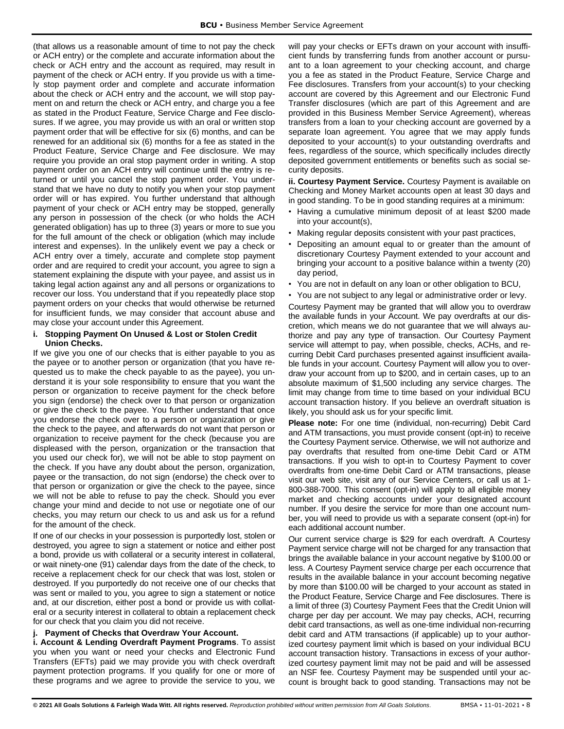(that allows us a reasonable amount of time to not pay the check or ACH entry) or the complete and accurate information about the check or ACH entry and the account as required, may result in payment of the check or ACH entry. If you provide us with a timely stop payment order and complete and accurate information about the check or ACH entry and the account, we will stop payment on and return the check or ACH entry, and charge you a fee as stated in the Product Feature, Service Charge and Fee disclosures. If we agree, you may provide us with an oral or written stop payment order that will be effective for six (6) months, and can be renewed for an additional six (6) months for a fee as stated in the Product Feature, Service Charge and Fee disclosure. We may require you provide an oral stop payment order in writing. A stop payment order on an ACH entry will continue until the entry is returned or until you cancel the stop payment order. You understand that we have no duty to notify you when your stop payment order will or has expired. You further understand that although payment of your check or ACH entry may be stopped, generally any person in possession of the check (or who holds the ACH generated obligation) has up to three (3) years or more to sue you for the full amount of the check or obligation (which may include interest and expenses). In the unlikely event we pay a check or ACH entry over a timely, accurate and complete stop payment order and are required to credit your account, you agree to sign a statement explaining the dispute with your payee, and assist us in taking legal action against any and all persons or organizations to recover our loss. You understand that if you repeatedly place stop payment orders on your checks that would otherwise be returned for insufficient funds, we may consider that account abuse and may close your account under this Agreement.

## **i. Stopping Payment On Unused & Lost or Stolen Credit Union Checks.**

If we give you one of our checks that is either payable to you as the payee or to another person or organization (that you have requested us to make the check payable to as the payee), you understand it is your sole responsibility to ensure that you want the person or organization to receive payment for the check before you sign (endorse) the check over to that person or organization or give the check to the payee. You further understand that once you endorse the check over to a person or organization or give the check to the payee, and afterwards do not want that person or organization to receive payment for the check (because you are displeased with the person, organization or the transaction that you used our check for), we will not be able to stop payment on the check. If you have any doubt about the person, organization, payee or the transaction, do not sign (endorse) the check over to that person or organization or give the check to the payee, since we will not be able to refuse to pay the check. Should you ever change your mind and decide to not use or negotiate one of our checks, you may return our check to us and ask us for a refund for the amount of the check.

If one of our checks in your possession is purportedly lost, stolen or destroyed, you agree to sign a statement or notice and either post a bond, provide us with collateral or a security interest in collateral, or wait ninety-one (91) calendar days from the date of the check, to receive a replacement check for our check that was lost, stolen or destroyed. If you purportedly do not receive one of our checks that was sent or mailed to you, you agree to sign a statement or notice and, at our discretion, either post a bond or provide us with collateral or a security interest in collateral to obtain a replacement check for our check that you claim you did not receive.

# **j. Payment of Checks that Overdraw Your Account.**

**i. Account & Lending Overdraft Payment Programs**. To assist you when you want or need your checks and Electronic Fund Transfers (EFTs) paid we may provide you with check overdraft payment protection programs. If you qualify for one or more of these programs and we agree to provide the service to you, we

will pay your checks or EFTs drawn on your account with insufficient funds by transferring funds from another account or pursuant to a loan agreement to your checking account, and charge you a fee as stated in the Product Feature, Service Charge and Fee disclosures. Transfers from your account(s) to your checking account are covered by this Agreement and our Electronic Fund Transfer disclosures (which are part of this Agreement and are provided in this Business Member Service Agreement), whereas transfers from a loan to your checking account are governed by a separate loan agreement. You agree that we may apply funds deposited to your account(s) to your outstanding overdrafts and fees, regardless of the source, which specifically includes directly deposited government entitlements or benefits such as social security deposits.

**ii. Courtesy Payment Service.** Courtesy Payment is available on Checking and Money Market accounts open at least 30 days and in good standing. To be in good standing requires at a minimum:

- Having a cumulative minimum deposit of at least \$200 made into your account(s),
- Making regular deposits consistent with your past practices,
- Depositing an amount equal to or greater than the amount of discretionary Courtesy Payment extended to your account and bringing your account to a positive balance within a twenty (20) day period,
- You are not in default on any loan or other obligation to BCU,
- You are not subject to any legal or administrative order or levy.

Courtesy Payment may be granted that will allow you to overdraw the available funds in your Account. We pay overdrafts at our discretion, which means we do not guarantee that we will always authorize and pay any type of transaction. Our Courtesy Payment service will attempt to pay, when possible, checks, ACHs, and recurring Debit Card purchases presented against insufficient available funds in your account. Courtesy Payment will allow you to overdraw your account from up to \$200, and in certain cases, up to an absolute maximum of \$1,500 including any service charges. The limit may change from time to time based on your individual BCU account transaction history. If you believe an overdraft situation is likely, you should ask us for your specific limit.

**Please note:** For one time (individual, non-recurring) Debit Card and ATM transactions, you must provide consent (opt-in) to receive the Courtesy Payment service. Otherwise, we will not authorize and pay overdrafts that resulted from one-time Debit Card or ATM transactions. If you wish to opt-in to Courtesy Payment to cover overdrafts from one-time Debit Card or ATM transactions, please visit our web site, visit any of our Service Centers, or call us at 1- 800-388-7000. This consent (opt-in) will apply to all eligible money market and checking accounts under your designated account number. If you desire the service for more than one account number, you will need to provide us with a separate consent (opt-in) for each additional account number.

Our current service charge is \$29 for each overdraft. A Courtesy Payment service charge will not be charged for any transaction that brings the available balance in your account negative by \$100.00 or less. A Courtesy Payment service charge per each occurrence that results in the available balance in your account becoming negative by more than \$100.00 will be charged to your account as stated in the Product Feature, Service Charge and Fee disclosures. There is a limit of three (3) Courtesy Payment Fees that the Credit Union will charge per day per account. We may pay checks, ACH, recurring debit card transactions, as well as one-time individual non-recurring debit card and ATM transactions (if applicable) up to your authorized courtesy payment limit which is based on your individual BCU account transaction history. Transactions in excess of your authorized courtesy payment limit may not be paid and will be assessed an NSF fee. Courtesy Payment may be suspended until your account is brought back to good standing. Transactions may not be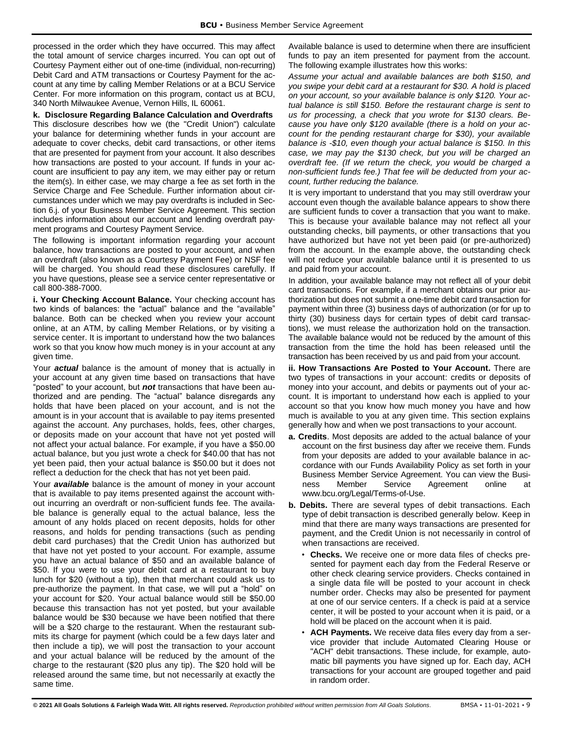processed in the order which they have occurred. This may affect the total amount of service charges incurred. You can opt out of Courtesy Payment either out of one-time (individual, non-recurring) Debit Card and ATM transactions or Courtesy Payment for the account at any time by calling Member Relations or at a BCU Service Center. For more information on this program, contact us at BCU, 340 North Milwaukee Avenue, Vernon Hills, IL 60061.

**k. Disclosure Regarding Balance Calculation and Overdrafts** This disclosure describes how we (the "Credit Union") calculate your balance for determining whether funds in your account are adequate to cover checks, debit card transactions, or other items that are presented for payment from your account. It also describes how transactions are posted to your account. If funds in your account are insufficient to pay any item, we may either pay or return the item(s). In either case, we may charge a fee as set forth in the Service Charge and Fee Schedule. Further information about circumstances under which we may pay overdrafts is included in Section 6.j. of your Business Member Service Agreement. This section includes information about our account and lending overdraft payment programs and Courtesy Payment Service.

The following is important information regarding your account balance, how transactions are posted to your account, and when an overdraft (also known as a Courtesy Payment Fee) or NSF fee will be charged. You should read these disclosures carefully. If you have questions, please see a service center representative or call 800-388-7000.

**i. Your Checking Account Balance.** Your checking account has two kinds of balances: the "actual" balance and the "available" balance. Both can be checked when you review your account online, at an ATM, by calling Member Relations, or by visiting a service center. It is important to understand how the two balances work so that you know how much money is in your account at any given time.

Your *actual* balance is the amount of money that is actually in your account at any given time based on transactions that have "posted" to your account, but *not* transactions that have been authorized and are pending. The "actual" balance disregards any holds that have been placed on your account, and is not the amount is in your account that is available to pay items presented against the account. Any purchases, holds, fees, other charges, or deposits made on your account that have not yet posted will not affect your actual balance. For example, if you have a \$50.00 actual balance, but you just wrote a check for \$40.00 that has not yet been paid, then your actual balance is \$50.00 but it does not reflect a deduction for the check that has not yet been paid.

Your *available* balance is the amount of money in your account that is available to pay items presented against the account without incurring an overdraft or non-sufficient funds fee. The available balance is generally equal to the actual balance, less the amount of any holds placed on recent deposits, holds for other reasons, and holds for pending transactions (such as pending debit card purchases) that the Credit Union has authorized but that have not yet posted to your account. For example, assume you have an actual balance of \$50 and an available balance of \$50. If you were to use your debit card at a restaurant to buy lunch for \$20 (without a tip), then that merchant could ask us to pre-authorize the payment. In that case, we will put a "hold" on your account for \$20. Your actual balance would still be \$50.00 because this transaction has not yet posted, but your available balance would be \$30 because we have been notified that there will be a \$20 charge to the restaurant. When the restaurant submits its charge for payment (which could be a few days later and then include a tip), we will post the transaction to your account and your actual balance will be reduced by the amount of the charge to the restaurant (\$20 plus any tip). The \$20 hold will be released around the same time, but not necessarily at exactly the same time.

Available balance is used to determine when there are insufficient funds to pay an item presented for payment from the account. The following example illustrates how this works:

*Assume your actual and available balances are both \$150, and you swipe your debit card at a restaurant for \$30. A hold is placed on your account, so your available balance is only \$120. Your actual balance is still \$150. Before the restaurant charge is sent to us for processing, a check that you wrote for \$130 clears. Because you have only \$120 available (there is a hold on your account for the pending restaurant charge for \$30), your available balance is -\$10, even though your actual balance is \$150. In this case, we may pay the \$130 check, but you will be charged an overdraft fee. (If we return the check, you would be charged a non-sufficient funds fee.) That fee will be deducted from your account, further reducing the balance.* 

It is very important to understand that you may still overdraw your account even though the available balance appears to show there are sufficient funds to cover a transaction that you want to make. This is because your available balance may not reflect all your outstanding checks, bill payments, or other transactions that you have authorized but have not yet been paid (or pre-authorized) from the account. In the example above, the outstanding check will not reduce your available balance until it is presented to us and paid from your account.

In addition, your available balance may not reflect all of your debit card transactions. For example, if a merchant obtains our prior authorization but does not submit a one-time debit card transaction for payment within three (3) business days of authorization (or for up to thirty (30) business days for certain types of debit card transactions), we must release the authorization hold on the transaction. The available balance would not be reduced by the amount of this transaction from the time the hold has been released until the transaction has been received by us and paid from your account.

**ii. How Transactions Are Posted to Your Account.** There are two types of transactions in your account: credits or deposits of money into your account, and debits or payments out of your account. It is important to understand how each is applied to your account so that you know how much money you have and how much is available to you at any given time. This section explains generally how and when we post transactions to your account.

- **a. Credits**. Most deposits are added to the actual balance of your account on the first business day after we receive them. Funds from your deposits are added to your available balance in accordance with our Funds Availability Policy as set forth in your Business Member Service Agreement. You can view the Business Member Service Agreement online at www.bcu.org/Legal/Terms-of-Use.
- **b. Debits.** There are several types of debit transactions. Each type of debit transaction is described generally below. Keep in mind that there are many ways transactions are presented for payment, and the Credit Union is not necessarily in control of when transactions are received.
	- **Checks.** We receive one or more data files of checks presented for payment each day from the Federal Reserve or other check clearing service providers. Checks contained in a single data file will be posted to your account in check number order. Checks may also be presented for payment at one of our service centers. If a check is paid at a service center, it will be posted to your account when it is paid, or a hold will be placed on the account when it is paid.
	- **ACH Payments.** We receive data files every day from a service provider that include Automated Clearing House or "ACH" debit transactions. These include, for example, automatic bill payments you have signed up for. Each day, ACH transactions for your account are grouped together and paid in random order.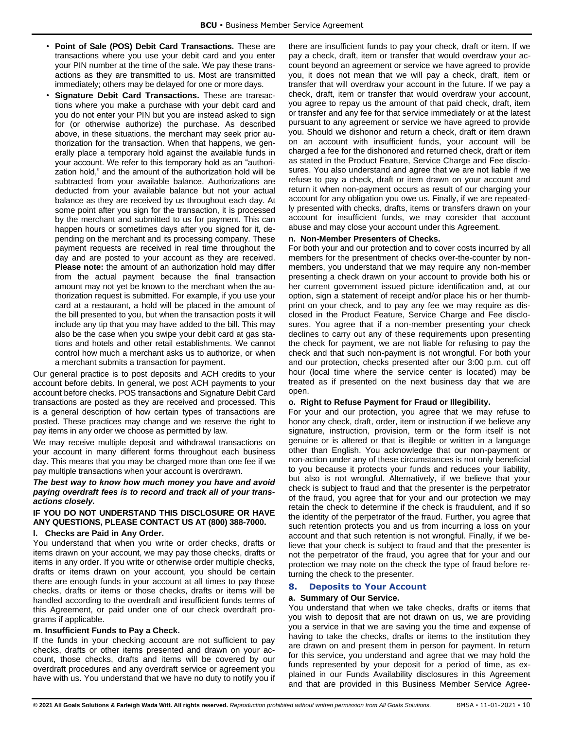- **Point of Sale (POS) Debit Card Transactions.** These are transactions where you use your debit card and you enter your PIN number at the time of the sale. We pay these transactions as they are transmitted to us. Most are transmitted immediately; others may be delayed for one or more days.
- **Signature Debit Card Transactions.** These are transactions where you make a purchase with your debit card and you do not enter your PIN but you are instead asked to sign for (or otherwise authorize) the purchase. As described above, in these situations, the merchant may seek prior authorization for the transaction. When that happens, we generally place a temporary hold against the available funds in your account. We refer to this temporary hold as an "authorization hold," and the amount of the authorization hold will be subtracted from your available balance. Authorizations are deducted from your available balance but not your actual balance as they are received by us throughout each day. At some point after you sign for the transaction, it is processed by the merchant and submitted to us for payment. This can happen hours or sometimes days after you signed for it, depending on the merchant and its processing company. These payment requests are received in real time throughout the day and are posted to your account as they are received. **Please note:** the amount of an authorization hold may differ from the actual payment because the final transaction amount may not yet be known to the merchant when the authorization request is submitted. For example, if you use your card at a restaurant, a hold will be placed in the amount of the bill presented to you, but when the transaction posts it will include any tip that you may have added to the bill. This may also be the case when you swipe your debit card at gas stations and hotels and other retail establishments. We cannot control how much a merchant asks us to authorize, or when a merchant submits a transaction for payment.

Our general practice is to post deposits and ACH credits to your account before debits. In general, we post ACH payments to your account before checks. POS transactions and Signature Debit Card transactions are posted as they are received and processed. This is a general description of how certain types of transactions are posted. These practices may change and we reserve the right to pay items in any order we choose as permitted by law.

We may receive multiple deposit and withdrawal transactions on your account in many different forms throughout each business day. This means that you may be charged more than one fee if we pay multiple transactions when your account is overdrawn.

#### *The best way to know how much money you have and avoid paying overdraft fees is to record and track all of your transactions closely.*

## **IF YOU DO NOT UNDERSTAND THIS DISCLOSURE OR HAVE ANY QUESTIONS, PLEASE CONTACT US AT (800) 388-7000.**

#### **l. Checks are Paid in Any Order.**

You understand that when you write or order checks, drafts or items drawn on your account, we may pay those checks, drafts or items in any order. If you write or otherwise order multiple checks, drafts or items drawn on your account, you should be certain there are enough funds in your account at all times to pay those checks, drafts or items or those checks, drafts or items will be handled according to the overdraft and insufficient funds terms of this Agreement, or paid under one of our check overdraft programs if applicable.

#### **m. Insufficient Funds to Pay a Check.**

If the funds in your checking account are not sufficient to pay checks, drafts or other items presented and drawn on your account, those checks, drafts and items will be covered by our overdraft procedures and any overdraft service or agreement you have with us. You understand that we have no duty to notify you if there are insufficient funds to pay your check, draft or item. If we pay a check, draft, item or transfer that would overdraw your account beyond an agreement or service we have agreed to provide you, it does not mean that we will pay a check, draft, item or transfer that will overdraw your account in the future. If we pay a check, draft, item or transfer that would overdraw your account, you agree to repay us the amount of that paid check, draft, item or transfer and any fee for that service immediately or at the latest pursuant to any agreement or service we have agreed to provide you. Should we dishonor and return a check, draft or item drawn on an account with insufficient funds, your account will be charged a fee for the dishonored and returned check, draft or item as stated in the Product Feature, Service Charge and Fee disclosures. You also understand and agree that we are not liable if we refuse to pay a check, draft or item drawn on your account and return it when non-payment occurs as result of our charging your account for any obligation you owe us. Finally, if we are repeatedly presented with checks, drafts, items or transfers drawn on your account for insufficient funds, we may consider that account abuse and may close your account under this Agreement.

#### **n. Non-Member Presenters of Checks.**

For both your and our protection and to cover costs incurred by all members for the presentment of checks over-the-counter by nonmembers, you understand that we may require any non-member presenting a check drawn on your account to provide both his or her current government issued picture identification and, at our option, sign a statement of receipt and/or place his or her thumbprint on your check, and to pay any fee we may require as disclosed in the Product Feature, Service Charge and Fee disclosures. You agree that if a non-member presenting your check declines to carry out any of these requirements upon presenting the check for payment, we are not liable for refusing to pay the check and that such non-payment is not wrongful. For both your and our protection, checks presented after our 3:00 p.m. cut off hour (local time where the service center is located) may be treated as if presented on the next business day that we are open.

#### **o. Right to Refuse Payment for Fraud or Illegibility.**

For your and our protection, you agree that we may refuse to honor any check, draft, order, item or instruction if we believe any signature, instruction, provision, term or the form itself is not genuine or is altered or that is illegible or written in a language other than English. You acknowledge that our non-payment or non-action under any of these circumstances is not only beneficial to you because it protects your funds and reduces your liability, but also is not wrongful. Alternatively, if we believe that your check is subject to fraud and that the presenter is the perpetrator of the fraud, you agree that for your and our protection we may retain the check to determine if the check is fraudulent, and if so the identity of the perpetrator of the fraud. Further, you agree that such retention protects you and us from incurring a loss on your account and that such retention is not wrongful. Finally, if we believe that your check is subject to fraud and that the presenter is not the perpetrator of the fraud, you agree that for your and our protection we may note on the check the type of fraud before returning the check to the presenter.

#### <span id="page-10-0"></span>**8. Deposits to Your Account**

#### **a. Summary of Our Service.**

You understand that when we take checks, drafts or items that you wish to deposit that are not drawn on us, we are providing you a service in that we are saving you the time and expense of having to take the checks, drafts or items to the institution they are drawn on and present them in person for payment. In return for this service, you understand and agree that we may hold the funds represented by your deposit for a period of time, as explained in our Funds Availability disclosures in this Agreement and that are provided in this Business Member Service Agree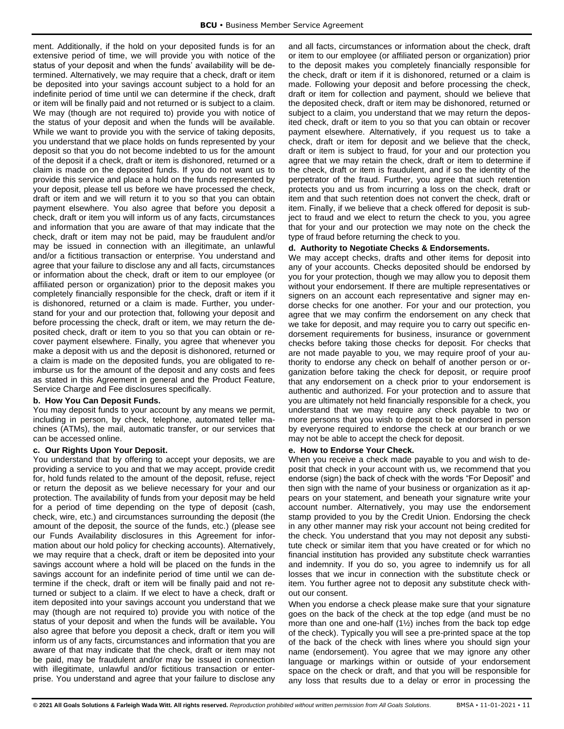ment. Additionally, if the hold on your deposited funds is for an extensive period of time, we will provide you with notice of the status of your deposit and when the funds' availability will be determined. Alternatively, we may require that a check, draft or item be deposited into your savings account subject to a hold for an indefinite period of time until we can determine if the check, draft or item will be finally paid and not returned or is subject to a claim. We may (though are not required to) provide you with notice of the status of your deposit and when the funds will be available. While we want to provide you with the service of taking deposits, you understand that we place holds on funds represented by your deposit so that you do not become indebted to us for the amount of the deposit if a check, draft or item is dishonored, returned or a claim is made on the deposited funds. If you do not want us to provide this service and place a hold on the funds represented by your deposit, please tell us before we have processed the check, draft or item and we will return it to you so that you can obtain payment elsewhere. You also agree that before you deposit a check, draft or item you will inform us of any facts, circumstances and information that you are aware of that may indicate that the check, draft or item may not be paid, may be fraudulent and/or may be issued in connection with an illegitimate, an unlawful and/or a fictitious transaction or enterprise. You understand and agree that your failure to disclose any and all facts, circumstances or information about the check, draft or item to our employee (or affiliated person or organization) prior to the deposit makes you completely financially responsible for the check, draft or item if it is dishonored, returned or a claim is made. Further, you understand for your and our protection that, following your deposit and before processing the check, draft or item, we may return the deposited check, draft or item to you so that you can obtain or recover payment elsewhere. Finally, you agree that whenever you make a deposit with us and the deposit is dishonored, returned or a claim is made on the deposited funds, you are obligated to reimburse us for the amount of the deposit and any costs and fees as stated in this Agreement in general and the Product Feature, Service Charge and Fee disclosures specifically.

#### **b. How You Can Deposit Funds.**

You may deposit funds to your account by any means we permit, including in person, by check, telephone, automated teller machines (ATMs), the mail, automatic transfer, or our services that can be accessed online.

## **c. Our Rights Upon Your Deposit.**

You understand that by offering to accept your deposits, we are providing a service to you and that we may accept, provide credit for, hold funds related to the amount of the deposit, refuse, reject or return the deposit as we believe necessary for your and our protection. The availability of funds from your deposit may be held for a period of time depending on the type of deposit (cash, check, wire, etc.) and circumstances surrounding the deposit (the amount of the deposit, the source of the funds, etc.) (please see our Funds Availability disclosures in this Agreement for information about our hold policy for checking accounts). Alternatively, we may require that a check, draft or item be deposited into your savings account where a hold will be placed on the funds in the savings account for an indefinite period of time until we can determine if the check, draft or item will be finally paid and not returned or subject to a claim. If we elect to have a check, draft or item deposited into your savings account you understand that we may (though are not required to) provide you with notice of the status of your deposit and when the funds will be available**.** You also agree that before you deposit a check, draft or item you will inform us of any facts, circumstances and information that you are aware of that may indicate that the check, draft or item may not be paid, may be fraudulent and/or may be issued in connection with illegitimate, unlawful and/or fictitious transaction or enterprise. You understand and agree that your failure to disclose any

and all facts, circumstances or information about the check, draft or item to our employee (or affiliated person or organization) prior to the deposit makes you completely financially responsible for the check, draft or item if it is dishonored, returned or a claim is made. Following your deposit and before processing the check, draft or item for collection and payment, should we believe that the deposited check, draft or item may be dishonored, returned or subject to a claim, you understand that we may return the deposited check, draft or item to you so that you can obtain or recover payment elsewhere. Alternatively, if you request us to take a check, draft or item for deposit and we believe that the check, draft or item is subject to fraud, for your and our protection you agree that we may retain the check, draft or item to determine if the check, draft or item is fraudulent, and if so the identity of the perpetrator of the fraud. Further, you agree that such retention protects you and us from incurring a loss on the check, draft or item and that such retention does not convert the check, draft or item. Finally, if we believe that a check offered for deposit is subject to fraud and we elect to return the check to you, you agree that for your and our protection we may note on the check the type of fraud before returning the check to you.

## **d. Authority to Negotiate Checks & Endorsements.**

We may accept checks, drafts and other items for deposit into any of your accounts. Checks deposited should be endorsed by you for your protection, though we may allow you to deposit them without your endorsement. If there are multiple representatives or signers on an account each representative and signer may endorse checks for one another. For your and our protection, you agree that we may confirm the endorsement on any check that we take for deposit, and may require you to carry out specific endorsement requirements for business, insurance or government checks before taking those checks for deposit. For checks that are not made payable to you, we may require proof of your authority to endorse any check on behalf of another person or organization before taking the check for deposit, or require proof that any endorsement on a check prior to your endorsement is authentic and authorized. For your protection and to assure that you are ultimately not held financially responsible for a check, you understand that we may require any check payable to two or more persons that you wish to deposit to be endorsed in person by everyone required to endorse the check at our branch or we may not be able to accept the check for deposit.

#### **e. How to Endorse Your Check.**

When you receive a check made payable to you and wish to deposit that check in your account with us, we recommend that you endorse (sign) the back of check with the words "For Deposit" and then sign with the name of your business or organization as it appears on your statement, and beneath your signature write your account number. Alternatively, you may use the endorsement stamp provided to you by the Credit Union. Endorsing the check in any other manner may risk your account not being credited for the check. You understand that you may not deposit any substitute check or similar item that you have created or for which no financial institution has provided any substitute check warranties and indemnity. If you do so, you agree to indemnify us for all losses that we incur in connection with the substitute check or item. You further agree not to deposit any substitute check without our consent.

When you endorse a check please make sure that your signature goes on the back of the check at the top edge (and must be no more than one and one-half (1½) inches from the back top edge of the check). Typically you will see a pre-printed space at the top of the back of the check with lines where you should sign your name (endorsement). You agree that we may ignore any other language or markings within or outside of your endorsement space on the check or draft, and that you will be responsible for any loss that results due to a delay or error in processing the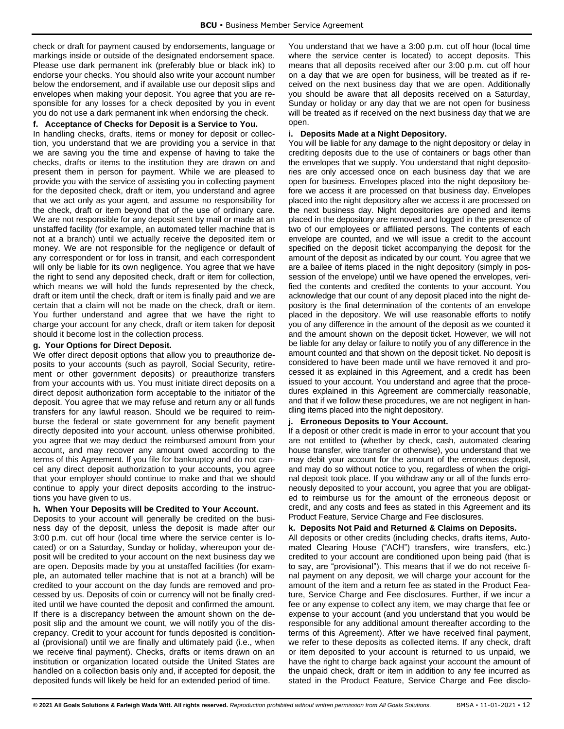check or draft for payment caused by endorsements, language or markings inside or outside of the designated endorsement space. Please use dark permanent ink (preferably blue or black ink) to endorse your checks. You should also write your account number below the endorsement, and if available use our deposit slips and envelopes when making your deposit. You agree that you are responsible for any losses for a check deposited by you in event you do not use a dark permanent ink when endorsing the check.

## **f. Acceptance of Checks for Deposit is a Service to You.**

In handling checks, drafts, items or money for deposit or collection, you understand that we are providing you a service in that we are saving you the time and expense of having to take the checks, drafts or items to the institution they are drawn on and present them in person for payment. While we are pleased to provide you with the service of assisting you in collecting payment for the deposited check, draft or item, you understand and agree that we act only as your agent, and assume no responsibility for the check, draft or item beyond that of the use of ordinary care. We are not responsible for any deposit sent by mail or made at an unstaffed facility (for example, an automated teller machine that is not at a branch) until we actually receive the deposited item or money. We are not responsible for the negligence or default of any correspondent or for loss in transit, and each correspondent will only be liable for its own negligence. You agree that we have the right to send any deposited check, draft or item for collection, which means we will hold the funds represented by the check, draft or item until the check, draft or item is finally paid and we are certain that a claim will not be made on the check, draft or item. You further understand and agree that we have the right to charge your account for any check, draft or item taken for deposit should it become lost in the collection process.

## **g. Your Options for Direct Deposit.**

We offer direct deposit options that allow you to preauthorize deposits to your accounts (such as payroll, Social Security, retirement or other government deposits) or preauthorize transfers from your accounts with us. You must initiate direct deposits on a direct deposit authorization form acceptable to the initiator of the deposit. You agree that we may refuse and return any or all funds transfers for any lawful reason. Should we be required to reimburse the federal or state government for any benefit payment directly deposited into your account, unless otherwise prohibited, you agree that we may deduct the reimbursed amount from your account, and may recover any amount owed according to the terms of this Agreement. If you file for bankruptcy and do not cancel any direct deposit authorization to your accounts, you agree that your employer should continue to make and that we should continue to apply your direct deposits according to the instructions you have given to us.

## **h. When Your Deposits will be Credited to Your Account.**

Deposits to your account will generally be credited on the business day of the deposit, unless the deposit is made after our 3:00 p.m. cut off hour (local time where the service center is located) or on a Saturday, Sunday or holiday, whereupon your deposit will be credited to your account on the next business day we are open. Deposits made by you at unstaffed facilities (for example, an automated teller machine that is not at a branch) will be credited to your account on the day funds are removed and processed by us. Deposits of coin or currency will not be finally credited until we have counted the deposit and confirmed the amount. If there is a discrepancy between the amount shown on the deposit slip and the amount we count, we will notify you of the discrepancy. Credit to your account for funds deposited is conditional (provisional) until we are finally and ultimately paid (i.e., when we receive final payment). Checks, drafts or items drawn on an institution or organization located outside the United States are handled on a collection basis only and, if accepted for deposit, the deposited funds will likely be held for an extended period of time.

You understand that we have a 3:00 p.m. cut off hour (local time where the service center is located) to accept deposits. This means that all deposits received after our 3:00 p.m. cut off hour on a day that we are open for business, will be treated as if received on the next business day that we are open. Additionally you should be aware that all deposits received on a Saturday, Sunday or holiday or any day that we are not open for business will be treated as if received on the next business day that we are open.

## **i. Deposits Made at a Night Depository.**

You will be liable for any damage to the night depository or delay in crediting deposits due to the use of containers or bags other than the envelopes that we supply. You understand that night depositories are only accessed once on each business day that we are open for business. Envelopes placed into the night depository before we access it are processed on that business day. Envelopes placed into the night depository after we access it are processed on the next business day. Night depositories are opened and items placed in the depository are removed and logged in the presence of two of our employees or affiliated persons. The contents of each envelope are counted, and we will issue a credit to the account specified on the deposit ticket accompanying the deposit for the amount of the deposit as indicated by our count. You agree that we are a bailee of items placed in the night depository (simply in possession of the envelope) until we have opened the envelopes, verified the contents and credited the contents to your account. You acknowledge that our count of any deposit placed into the night depository is the final determination of the contents of an envelope placed in the depository. We will use reasonable efforts to notify you of any difference in the amount of the deposit as we counted it and the amount shown on the deposit ticket. However, we will not be liable for any delay or failure to notify you of any difference in the amount counted and that shown on the deposit ticket. No deposit is considered to have been made until we have removed it and processed it as explained in this Agreement, and a credit has been issued to your account. You understand and agree that the procedures explained in this Agreement are commercially reasonable, and that if we follow these procedures, we are not negligent in handling items placed into the night depository.

## **j. Erroneous Deposits to Your Account.**

If a deposit or other credit is made in error to your account that you are not entitled to (whether by check, cash, automated clearing house transfer, wire transfer or otherwise), you understand that we may debit your account for the amount of the erroneous deposit, and may do so without notice to you, regardless of when the original deposit took place. If you withdraw any or all of the funds erroneously deposited to your account, you agree that you are obligated to reimburse us for the amount of the erroneous deposit or credit, and any costs and fees as stated in this Agreement and its Product Feature, Service Charge and Fee disclosures.

## **k. Deposits Not Paid and Returned & Claims on Deposits.**

All deposits or other credits (including checks, drafts items, Automated Clearing House ("ACH") transfers, wire transfers, etc.) credited to your account are conditioned upon being paid (that is to say, are "provisional"). This means that if we do not receive final payment on any deposit, we will charge your account for the amount of the item and a return fee as stated in the Product Feature, Service Charge and Fee disclosures. Further, if we incur a fee or any expense to collect any item, we may charge that fee or expense to your account (and you understand that you would be responsible for any additional amount thereafter according to the terms of this Agreement). After we have received final payment, we refer to these deposits as collected items. If any check, draft or item deposited to your account is returned to us unpaid, we have the right to charge back against your account the amount of the unpaid check, draft or item in addition to any fee incurred as stated in the Product Feature, Service Charge and Fee disclo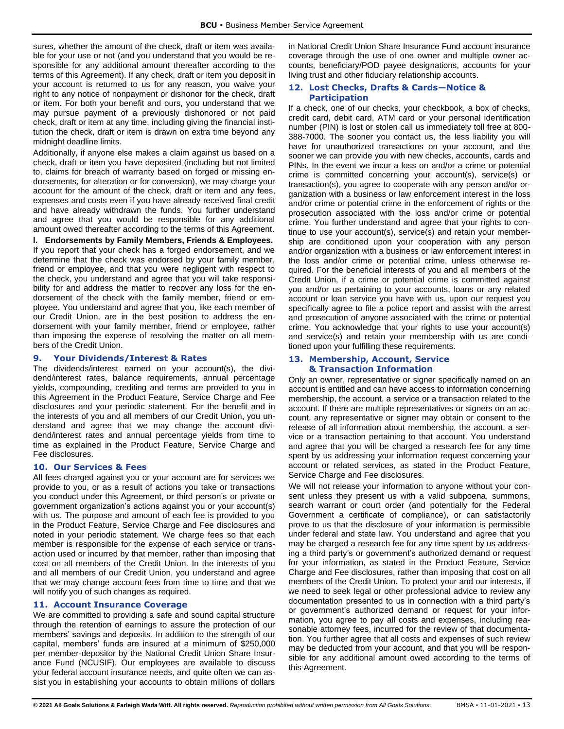sures, whether the amount of the check, draft or item was available for your use or not (and you understand that you would be responsible for any additional amount thereafter according to the terms of this Agreement). If any check, draft or item you deposit in your account is returned to us for any reason, you waive your right to any notice of nonpayment or dishonor for the check, draft or item. For both your benefit and ours, you understand that we may pursue payment of a previously dishonored or not paid check, draft or item at any time, including giving the financial institution the check, draft or item is drawn on extra time beyond any midnight deadline limits.

Additionally, if anyone else makes a claim against us based on a check, draft or item you have deposited (including but not limited to, claims for breach of warranty based on forged or missing endorsements, for alteration or for conversion), we may charge your account for the amount of the check, draft or item and any fees, expenses and costs even if you have already received final credit and have already withdrawn the funds. You further understand and agree that you would be responsible for any additional amount owed thereafter according to the terms of this Agreement.

**l. Endorsements by Family Members, Friends & Employees.**  If you report that your check has a forged endorsement, and we determine that the check was endorsed by your family member, friend or employee, and that you were negligent with respect to the check, you understand and agree that you will take responsibility for and address the matter to recover any loss for the endorsement of the check with the family member, friend or employee. You understand and agree that you, like each member of our Credit Union, are in the best position to address the endorsement with your family member, friend or employee, rather than imposing the expense of resolving the matter on all members of the Credit Union.

#### <span id="page-13-0"></span>**9. Your Dividends/Interest & Rates**

The dividends/interest earned on your account(s), the dividend/interest rates, balance requirements, annual percentage yields, compounding, crediting and terms are provided to you in this Agreement in the Product Feature, Service Charge and Fee disclosures and your periodic statement. For the benefit and in the interests of you and all members of our Credit Union, you understand and agree that we may change the account dividend/interest rates and annual percentage yields from time to time as explained in the Product Feature, Service Charge and Fee disclosures.

#### <span id="page-13-1"></span>**10. Our Services & Fees**

All fees charged against you or your account are for services we provide to you, or as a result of actions you take or transactions you conduct under this Agreement, or third person's or private or government organization's actions against you or your account(s) with us. The purpose and amount of each fee is provided to you in the Product Feature, Service Charge and Fee disclosures and noted in your periodic statement. We charge fees so that each member is responsible for the expense of each service or transaction used or incurred by that member, rather than imposing that cost on all members of the Credit Union. In the interests of you and all members of our Credit Union, you understand and agree that we may change account fees from time to time and that we will notify you of such changes as required.

#### <span id="page-13-2"></span>**11. Account Insurance Coverage**

We are committed to providing a safe and sound capital structure through the retention of earnings to assure the protection of our members' savings and deposits. In addition to the strength of our capital, members' funds are insured at a minimum of \$250,000 per member-depositor by the National Credit Union Share Insurance Fund (NCUSIF). Our employees are available to discuss your federal account insurance needs, and quite often we can assist you in establishing your accounts to obtain millions of dollars

in National Credit Union Share Insurance Fund account insurance coverage through the use of one owner and multiple owner accounts, beneficiary/POD payee designations, accounts for you**r** living trust and other fiduciary relationship accounts.

#### <span id="page-13-3"></span>**12. Lost Checks, Drafts & Cards—Notice & Participation**

If a check, one of our checks, your checkbook, a box of checks, credit card, debit card, ATM card or your personal identification number (PIN) is lost or stolen call us immediately toll free at 800- 388-7000. The sooner you contact us, the less liability you will have for unauthorized transactions on your account, and the sooner we can provide you with new checks, accounts, cards and PINs. In the event we incur a loss on and/or a crime or potential crime is committed concerning your account(s), service(s) or transaction(s), you agree to cooperate with any person and/or organization with a business or law enforcement interest in the loss and/or crime or potential crime in the enforcement of rights or the prosecution associated with the loss and/or crime or potential crime. You further understand and agree that your rights to continue to use your account(s), service(s) and retain your membership are conditioned upon your cooperation with any person and/or organization with a business or law enforcement interest in the loss and/or crime or potential crime, unless otherwise required. For the beneficial interests of you and all members of the Credit Union, if a crime or potential crime is committed against you and/or us pertaining to your accounts, loans or any related account or loan service you have with us, upon our request you specifically agree to file a police report and assist with the arrest and prosecution of anyone associated with the crime or potential crime. You acknowledge that your rights to use your account(s) and service(s) and retain your membership with us are conditioned upon your fulfilling these requirements.

#### <span id="page-13-4"></span>**13. Membership, Account, Service & Transaction Information**

Only an owner, representative or signer specifically named on an account is entitled and can have access to information concerning membership, the account, a service or a transaction related to the account. If there are multiple representatives or signers on an account, any representative or signer may obtain or consent to the release of all information about membership, the account, a service or a transaction pertaining to that account. You understand and agree that you will be charged a research fee for any time spent by us addressing your information request concerning your account or related services, as stated in the Product Feature, Service Charge and Fee disclosures.

We will not release your information to anyone without your consent unless they present us with a valid subpoena, summons, search warrant or court order (and potentially for the Federal Government a certificate of compliance), or can satisfactorily prove to us that the disclosure of your information is permissible under federal and state law. You understand and agree that you may be charged a research fee for any time spent by us addressing a third party's or government's authorized demand or request for your information, as stated in the Product Feature, Service Charge and Fee disclosures, rather than imposing that cost on all members of the Credit Union. To protect your and our interests, if we need to seek legal or other professional advice to review any documentation presented to us in connection with a third party's or government's authorized demand or request for your information, you agree to pay all costs and expenses, including reasonable attorney fees, incurred for the review of that documentation. You further agree that all costs and expenses of such review may be deducted from your account, and that you will be responsible for any additional amount owed according to the terms of this Agreement.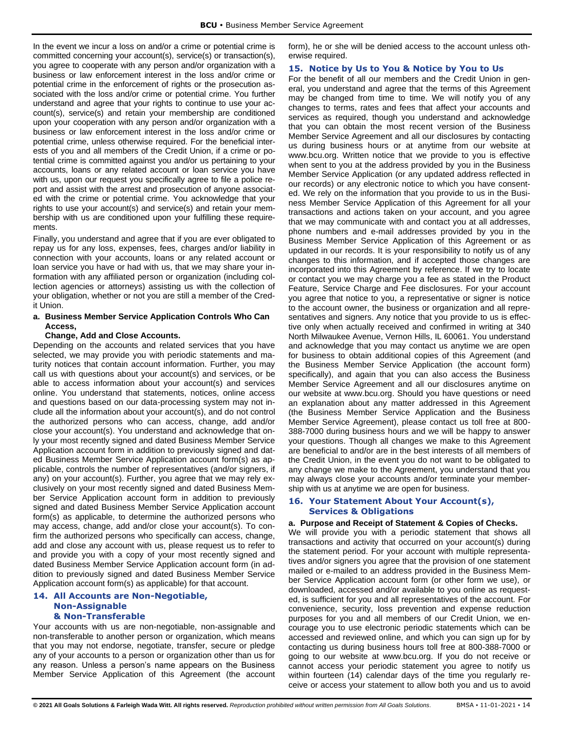In the event we incur a loss on and/or a crime or potential crime is committed concerning your account(s), service(s) or transaction(s), you agree to cooperate with any person and/or organization with a business or law enforcement interest in the loss and/or crime or potential crime in the enforcement of rights or the prosecution associated with the loss and/or crime or potential crime. You further understand and agree that your rights to continue to use your account(s), service(s) and retain your membership are conditioned upon your cooperation with any person and/or organization with a business or law enforcement interest in the loss and/or crime or potential crime, unless otherwise required. For the beneficial interests of you and all members of the Credit Union, if a crime or potential crime is committed against you and/or us pertaining to your accounts, loans or any related account or loan service you have with us, upon our request you specifically agree to file a police report and assist with the arrest and prosecution of anyone associated with the crime or potential crime. You acknowledge that your rights to use your account(s) and service(s) and retain your membership with us are conditioned upon your fulfilling these requirements.

Finally, you understand and agree that if you are ever obligated to repay us for any loss, expenses, fees, charges and/or liability in connection with your accounts, loans or any related account or loan service you have or had with us, that we may share your information with any affiliated person or organization (including collection agencies or attorneys) assisting us with the collection of your obligation, whether or not you are still a member of the Credit Union.

#### **a. Business Member Service Application Controls Who Can Access,**

#### **Change, Add and Close Accounts.**

Depending on the accounts and related services that you have selected, we may provide you with periodic statements and maturity notices that contain account information. Further, you may call us with questions about your account(s) and services, or be able to access information about your account(s) and services online. You understand that statements, notices, online access and questions based on our data-processing system may not include all the information about your account(s), and do not control the authorized persons who can access, change, add and/or close your account(s). You understand and acknowledge that only your most recently signed and dated Business Member Service Application account form in addition to previously signed and dated Business Member Service Application account form(s) as applicable, controls the number of representatives (and/or signers, if any) on your account(s). Further, you agree that we may rely exclusively on your most recently signed and dated Business Member Service Application account form in addition to previously signed and dated Business Member Service Application account form(s) as applicable, to determine the authorized persons who may access, change, add and/or close your account(s). To confirm the authorized persons who specifically can access, change, add and close any account with us, please request us to refer to and provide you with a copy of your most recently signed and dated Business Member Service Application account form (in addition to previously signed and dated Business Member Service Application account form(s) as applicable) for that account.

#### <span id="page-14-0"></span>**14. All Accounts are Non-Negotiable, Non-Assignable & Non-Transferable**

Your accounts with us are non-negotiable, non-assignable and non-transferable to another person or organization, which means that you may not endorse, negotiate, transfer, secure or pledge any of your accounts to a person or organization other than us for any reason. Unless a person's name appears on the Business Member Service Application of this Agreement (the account form), he or she will be denied access to the account unless otherwise required.

#### <span id="page-14-1"></span>**15. Notice by Us to You & Notice by You to Us**

For the benefit of all our members and the Credit Union in general, you understand and agree that the terms of this Agreement may be changed from time to time. We will notify you of any changes to terms, rates and fees that affect your accounts and services as required, though you understand and acknowledge that you can obtain the most recent version of the Business Member Service Agreement and all our disclosures by contacting us during business hours or at anytime from our website at www.bcu.org. Written notice that we provide to you is effective when sent to you at the address provided by you in the Business Member Service Application (or any updated address reflected in our records) or any electronic notice to which you have consented. We rely on the information that you provide to us in the Business Member Service Application of this Agreement for all your transactions and actions taken on your account, and you agree that we may communicate with and contact you at all addresses, phone numbers and e-mail addresses provided by you in the Business Member Service Application of this Agreement or as updated in our records. It is your responsibility to notify us of any changes to this information, and if accepted those changes are incorporated into this Agreement by reference. If we try to locate or contact you we may charge you a fee as stated in the Product Feature, Service Charge and Fee disclosures. For your account you agree that notice to you, a representative or signer is notice to the account owner, the business or organization and all representatives and signers. Any notice that you provide to us is effective only when actually received and confirmed in writing at 340 North Milwaukee Avenue, Vernon Hills, IL 60061. You understand and acknowledge that you may contact us anytime we are open for business to obtain additional copies of this Agreement (and the Business Member Service Application (the account form) specifically), and again that you can also access the Business Member Service Agreement and all our disclosures anytime on our website at www.bcu.org. Should you have questions or need an explanation about any matter addressed in this Agreement (the Business Member Service Application and the Business Member Service Agreement), please contact us toll free at 800- 388-7000 during business hours and we will be happy to answer your questions. Though all changes we make to this Agreement are beneficial to and/or are in the best interests of all members of the Credit Union, in the event you do not want to be obligated to any change we make to the Agreement, you understand that you may always close your accounts and/or terminate your membership with us at anytime we are open for business.

#### <span id="page-14-2"></span>**16. Your Statement About Your Account(s), Services & Obligations**

#### **a. Purpose and Receipt of Statement & Copies of Checks.**

We will provide you with a periodic statement that shows all transactions and activity that occurred on your account(s) during the statement period. For your account with multiple representatives and/or signers you agree that the provision of one statement mailed or e-mailed to an address provided in the Business Member Service Application account form (or other form we use), or downloaded, accessed and/or available to you online as requested, is sufficient for you and all representatives of the account. For convenience, security, loss prevention and expense reduction purposes for you and all members of our Credit Union, we encourage you to use electronic periodic statements which can be accessed and reviewed online, and which you can sign up for by contacting us during business hours toll free at 800-388-7000 or going to our website at www.bcu.org. If you do not receive or cannot access your periodic statement you agree to notify us within fourteen (14) calendar days of the time you regularly receive or access your statement to allow both you and us to avoid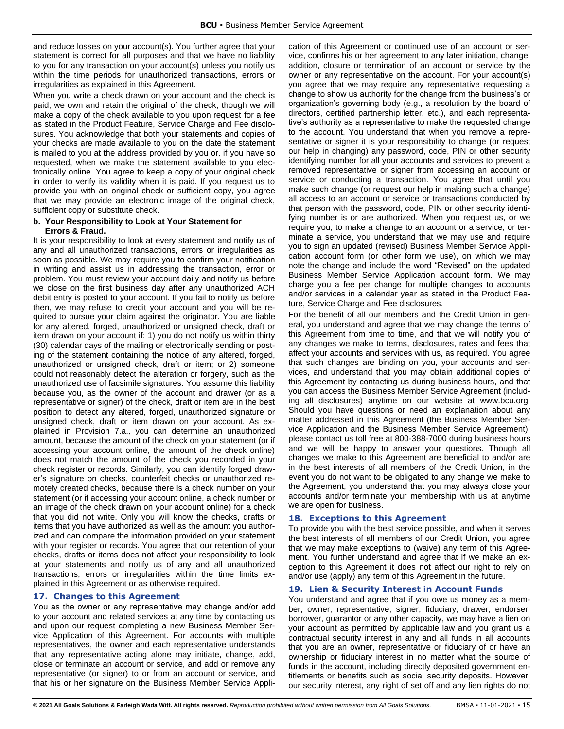and reduce losses on your account(s). You further agree that your statement is correct for all purposes and that we have no liability to you for any transaction on your account(s) unless you notify us within the time periods for unauthorized transactions, errors or irregularities as explained in this Agreement.

When you write a check drawn on your account and the check is paid, we own and retain the original of the check, though we will make a copy of the check available to you upon request for a fee as stated in the Product Feature, Service Charge and Fee disclosures. You acknowledge that both your statements and copies of your checks are made available to you on the date the statement is mailed to you at the address provided by you or, if you have so requested, when we make the statement available to you electronically online. You agree to keep a copy of your original check in order to verify its validity when it is paid. If you request us to provide you with an original check or sufficient copy, you agree that we may provide an electronic image of the original check, sufficient copy or substitute check.

#### **b. Your Responsibility to Look at Your Statement for Errors & Fraud.**

It is your responsibility to look at every statement and notify us of any and all unauthorized transactions, errors or irregularities as soon as possible. We may require you to confirm your notification in writing and assist us in addressing the transaction, error or problem. You must review your account daily and notify us before we close on the first business day after any unauthorized ACH debit entry is posted to your account. If you fail to notify us before then, we may refuse to credit your account and you will be required to pursue your claim against the originator. You are liable for any altered, forged, unauthorized or unsigned check, draft or item drawn on your account if: 1) you do not notify us within thirty (30) calendar days of the mailing or electronically sending or posting of the statement containing the notice of any altered, forged, unauthorized or unsigned check, draft or item; or 2) someone could not reasonably detect the alteration or forgery, such as the unauthorized use of facsimile signatures. You assume this liability because you, as the owner of the account and drawer (or as a representative or signer) of the check, draft or item are in the best position to detect any altered, forged, unauthorized signature or unsigned check, draft or item drawn on your account. As explained in Provision 7.a., you can determine an unauthorized amount, because the amount of the check on your statement (or if accessing your account online, the amount of the check online) does not match the amount of the check you recorded in your check register or records. Similarly, you can identify forged drawer's signature on checks, counterfeit checks or unauthorized remotely created checks, because there is a check number on your statement (or if accessing your account online, a check number or an image of the check drawn on your account online) for a check that you did not write. Only you will know the checks, drafts or items that you have authorized as well as the amount you authorized and can compare the information provided on your statement with your register or records. You agree that our retention of your checks, drafts or items does not affect your responsibility to look at your statements and notify us of any and all unauthorized transactions, errors or irregularities within the time limits explained in this Agreement or as otherwise required.

#### <span id="page-15-0"></span>**17. Changes to this Agreement**

You as the owner or any representative may change and/or add to your account and related services at any time by contacting us and upon our request completing a new Business Member Service Application of this Agreement. For accounts with multiple representatives, the owner and each representative understands that any representative acting alone may initiate, change, add, close or terminate an account or service, and add or remove any representative (or signer) to or from an account or service, and that his or her signature on the Business Member Service Application of this Agreement or continued use of an account or service, confirms his or her agreement to any later initiation, change, addition, closure or termination of an account or service by the owner or any representative on the account. For your account(s) you agree that we may require any representative requesting a change to show us authority for the change from the business's or organization's governing body (e.g., a resolution by the board of directors, certified partnership letter, etc.), and each representative's authority as a representative to make the requested change to the account. You understand that when you remove a representative or signer it is your responsibility to change (or request our help in changing) any password, code, PIN or other security identifying number for all your accounts and services to prevent a removed representative or signer from accessing an account or service or conducting a transaction. You agree that until you make such change (or request our help in making such a change) all access to an account or service or transactions conducted by that person with the password, code, PIN or other security identifying number is or are authorized. When you request us, or we require you, to make a change to an account or a service, or terminate a service, you understand that we may use and require you to sign an updated (revised) Business Member Service Application account form (or other form we use), on which we may note the change and include the word "Revised" on the updated Business Member Service Application account form. We may charge you a fee per change for multiple changes to accounts and/or services in a calendar year as stated in the Product Feature, Service Charge and Fee disclosures.

For the benefit of all our members and the Credit Union in general, you understand and agree that we may change the terms of this Agreement from time to time, and that we will notify you of any changes we make to terms, disclosures, rates and fees that affect your accounts and services with us, as required. You agree that such changes are binding on you, your accounts and services, and understand that you may obtain additional copies of this Agreement by contacting us during business hours, and that you can access the Business Member Service Agreement (including all disclosures) anytime on our website at www.bcu.org. Should you have questions or need an explanation about any matter addressed in this Agreement (the Business Member Service Application and the Business Member Service Agreement), please contact us toll free at 800-388-7000 during business hours and we will be happy to answer your questions. Though all changes we make to this Agreement are beneficial to and/or are in the best interests of all members of the Credit Union, in the event you do not want to be obligated to any change we make to the Agreement, you understand that you may always close your accounts and/or terminate your membership with us at anytime we are open for business.

#### <span id="page-15-1"></span>**18. Exceptions to this Agreement**

To provide you with the best service possible, and when it serves the best interests of all members of our Credit Union, you agree that we may make exceptions to (waive) any term of this Agreement. You further understand and agree that if we make an exception to this Agreement it does not affect our right to rely on and/or use (apply) any term of this Agreement in the future.

#### <span id="page-15-2"></span>**19. Lien & Security Interest in Account Funds**

You understand and agree that if you owe us money as a member, owner, representative, signer, fiduciary, drawer, endorser, borrower, guarantor or any other capacity, we may have a lien on your account as permitted by applicable law and you grant us a contractual security interest in any and all funds in all accounts that you are an owner, representative or fiduciary of or have an ownership or fiduciary interest in no matter what the source of funds in the account, including directly deposited government entitlements or benefits such as social security deposits. However, our security interest, any right of set off and any lien rights do not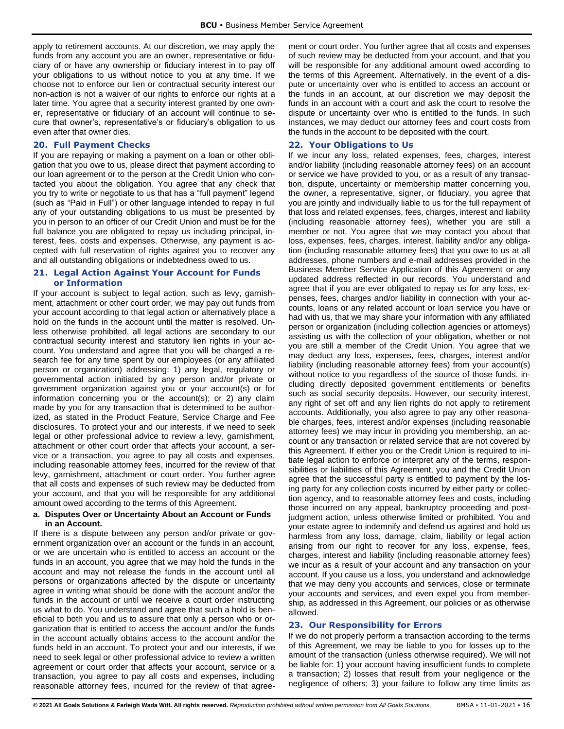apply to retirement accounts. At our discretion, we may apply the funds from any account you are an owner, representative or fiduciary of or have any ownership or fiduciary interest in to pay off your obligations to us without notice to you at any time. If we choose not to enforce our lien or contractual security interest our non-action is not a waiver of our rights to enforce our rights at a later time. You agree that a security interest granted by one owner, representative or fiduciary of an account will continue to secure that owner's, representative's or fiduciary's obligation to us even after that owner dies.

## <span id="page-16-0"></span>**20. Full Payment Checks**

If you are repaying or making a payment on a loan or other obligation that you owe to us, please direct that payment according to our loan agreement or to the person at the Credit Union who contacted you about the obligation. You agree that any check that you try to write or negotiate to us that has a "full payment" legend (such as "Paid in Full") or other language intended to repay in full any of your outstanding obligations to us must be presented by you in person to an officer of our Credit Union and must be for the full balance you are obligated to repay us including principal, interest, fees, costs and expenses. Otherwise, any payment is accepted with full reservation of rights against you to recover any and all outstanding obligations or indebtedness owed to us.

## <span id="page-16-1"></span>**21. Legal Action Against Your Account for Funds or Information**

If your account is subject to legal action, such as levy, garnishment, attachment or other court order, we may pay out funds from your account according to that legal action or alternatively place a hold on the funds in the account until the matter is resolved. Unless otherwise prohibited, all legal actions are secondary to our contractual security interest and statutory lien rights in your account. You understand and agree that you will be charged a research fee for any time spent by our employees (or any affiliated person or organization) addressing: 1) any legal, regulatory or governmental action initiated by any person and/or private or government organization against you or your account(s) or for information concerning you or the account(s); or 2) any claim made by you for any transaction that is determined to be authorized, as stated in the Product Feature, Service Charge and Fee disclosures. To protect your and our interests, if we need to seek legal or other professional advice to review a levy, garnishment, attachment or other court order that affects your account, a service or a transaction, you agree to pay all costs and expenses, including reasonable attorney fees, incurred for the review of that levy, garnishment, attachment or court order. You further agree that all costs and expenses of such review may be deducted from your account, and that you will be responsible for any additional amount owed according to the terms of this Agreement.

#### **a. Disputes Over or Uncertainty About an Account or Funds in an Account.**

If there is a dispute between any person and/or private or government organization over an account or the funds in an account, or we are uncertain who is entitled to access an account or the funds in an account, you agree that we may hold the funds in the account and may not release the funds in the account until all persons or organizations affected by the dispute or uncertainty agree in writing what should be done with the account and/or the funds in the account or until we receive a court order instructing us what to do. You understand and agree that such a hold is beneficial to both you and us to assure that only a person who or organization that is entitled to access the account and/or the funds in the account actually obtains access to the account and/or the funds held in an account. To protect your and our interests, if we need to seek legal or other professional advice to review a written agreement or court order that affects your account, service or a transaction, you agree to pay all costs and expenses, including reasonable attorney fees, incurred for the review of that agreement or court order. You further agree that all costs and expenses of such review may be deducted from your account, and that you will be responsible for any additional amount owed according to the terms of this Agreement. Alternatively, in the event of a dispute or uncertainty over who is entitled to access an account or the funds in an account, at our discretion we may deposit the funds in an account with a court and ask the court to resolve the dispute or uncertainty over who is entitled to the funds. In such instances, we may deduct our attorney fees and court costs from the funds in the account to be deposited with the court.

## <span id="page-16-2"></span>**22. Your Obligations to Us**

If we incur any loss, related expenses, fees, charges, interest and/or liability (including reasonable attorney fees) on an account or service we have provided to you, or as a result of any transaction, dispute, uncertainty or membership matter concerning you, the owner, a representative, signer, or fiduciary, you agree that you are jointly and individually liable to us for the full repayment of that loss and related expenses, fees, charges, interest and liability (including reasonable attorney fees), whether you are still a member or not. You agree that we may contact you about that loss, expenses, fees, charges, interest, liability and/or any obligation (including reasonable attorney fees) that you owe to us at all addresses, phone numbers and e-mail addresses provided in the Business Member Service Application of this Agreement or any updated address reflected in our records. You understand and agree that if you are ever obligated to repay us for any loss, expenses, fees, charges and/or liability in connection with your accounts, loans or any related account or loan service you have or had with us, that we may share your information with any affiliated person or organization (including collection agencies or attorneys) assisting us with the collection of your obligation, whether or not you are still a member of the Credit Union. You agree that we may deduct any loss, expenses, fees, charges, interest and/or liability (including reasonable attorney fees) from your account(s) without notice to you regardless of the source of those funds, including directly deposited government entitlements or benefits such as social security deposits. However, our security interest, any right of set off and any lien rights do not apply to retirement accounts. Additionally, you also agree to pay any other reasonable charges, fees, interest and/or expenses (including reasonable attorney fees) we may incur in providing you membership, an account or any transaction or related service that are not covered by this Agreement. If either you or the Credit Union is required to initiate legal action to enforce or interpret any of the terms, responsibilities or liabilities of this Agreement, you and the Credit Union agree that the successful party is entitled to payment by the losing party for any collection costs incurred by either party or collection agency, and to reasonable attorney fees and costs, including those incurred on any appeal, bankruptcy proceeding and postjudgment action, unless otherwise limited or prohibited. You and your estate agree to indemnify and defend us against and hold us harmless from any loss, damage, claim, liability or legal action arising from our right to recover for any loss, expense, fees, charges, interest and liability (including reasonable attorney fees) we incur as a result of your account and any transaction on your account. If you cause us a loss, you understand and acknowledge that we may deny you accounts and services, close or terminate your accounts and services, and even expel you from membership, as addressed in this Agreement, our policies or as otherwise allowed.

## <span id="page-16-3"></span>**23. Our Responsibility for Errors**

If we do not properly perform a transaction according to the terms of this Agreement, we may be liable to you for losses up to the amount of the transaction (unless otherwise required). We will not be liable for: 1) your account having insufficient funds to complete a transaction; 2) losses that result from your negligence or the negligence of others; 3) your failure to follow any time limits as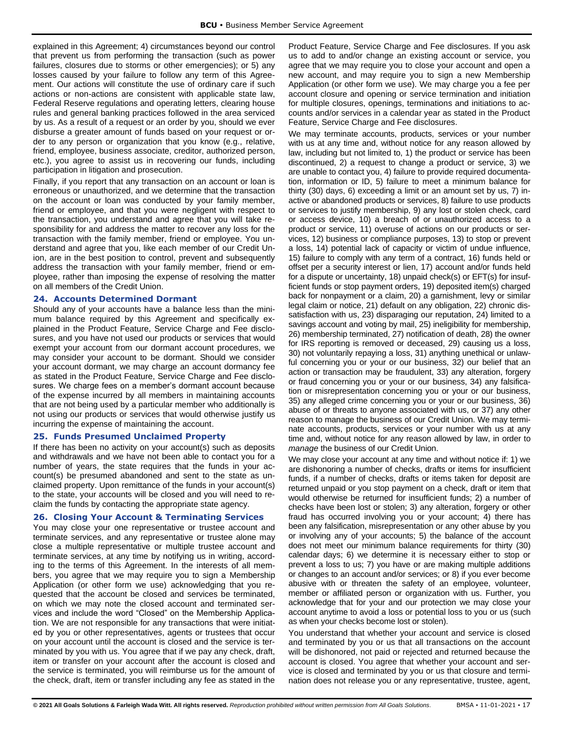explained in this Agreement; 4) circumstances beyond our control that prevent us from performing the transaction (such as power failures, closures due to storms or other emergencies); or 5) any losses caused by your failure to follow any term of this Agreement. Our actions will constitute the use of ordinary care if such actions or non-actions are consistent with applicable state law, Federal Reserve regulations and operating letters, clearing house rules and general banking practices followed in the area serviced by us. As a result of a request or an order by you, should we ever disburse a greater amount of funds based on your request or order to any person or organization that you know (e.g., relative, friend, employee, business associate, creditor, authorized person, etc.), you agree to assist us in recovering our funds, including participation in litigation and prosecution.

Finally, if you report that any transaction on an account or loan is erroneous or unauthorized, and we determine that the transaction on the account or loan was conducted by your family member, friend or employee, and that you were negligent with respect to the transaction, you understand and agree that you will take responsibility for and address the matter to recover any loss for the transaction with the family member, friend or employee. You understand and agree that you, like each member of our Credit Union, are in the best position to control, prevent and subsequently address the transaction with your family member, friend or employee, rather than imposing the expense of resolving the matter on all members of the Credit Union.

## <span id="page-17-0"></span>**24. Accounts Determined Dormant**

Should any of your accounts have a balance less than the minimum balance required by this Agreement and specifically explained in the Product Feature, Service Charge and Fee disclosures, and you have not used our products or services that would exempt your account from our dormant account procedures, we may consider your account to be dormant. Should we consider your account dormant, we may charge an account dormancy fee as stated in the Product Feature, Service Charge and Fee disclosures. We charge fees on a member's dormant account because of the expense incurred by all members in maintaining accounts that are not being used by a particular member who additionally is not using our products or services that would otherwise justify us incurring the expense of maintaining the account.

#### <span id="page-17-1"></span>**25. Funds Presumed Unclaimed Property**

If there has been no activity on your account(s) such as deposits and withdrawals and we have not been able to contact you for a number of years, the state requires that the funds in your account(s) be presumed abandoned and sent to the state as unclaimed property. Upon remittance of the funds in your account(s) to the state, your accounts will be closed and you will need to reclaim the funds by contacting the appropriate state agency.

#### <span id="page-17-2"></span>**26. Closing Your Account & Terminating Services**

You may close your one representative or trustee account and terminate services, and any representative or trustee alone may close a multiple representative or multiple trustee account and terminate services, at any time by notifying us in writing, according to the terms of this Agreement. In the interests of all members, you agree that we may require you to sign a Membership Application (or other form we use) acknowledging that you requested that the account be closed and services be terminated, on which we may note the closed account and terminated services and include the word "Closed" on the Membership Application. We are not responsible for any transactions that were initiated by you or other representatives, agents or trustees that occur on your account until the account is closed and the service is terminated by you with us. You agree that if we pay any check, draft, item or transfer on your account after the account is closed and the service is terminated, you will reimburse us for the amount of the check, draft, item or transfer including any fee as stated in the

Product Feature, Service Charge and Fee disclosures. If you ask us to add to and/or change an existing account or service, you agree that we may require you to close your account and open a new account, and may require you to sign a new Membership Application (or other form we use). We may charge you a fee per account closure and opening or service termination and initiation for multiple closures, openings, terminations and initiations to accounts and/or services in a calendar year as stated in the Product Feature, Service Charge and Fee disclosures.

We may terminate accounts, products, services or your number with us at any time and, without notice for any reason allowed by law, including but not limited to, 1) the product or service has been discontinued, 2) a request to change a product or service, 3) we are unable to contact you, 4) failure to provide required documentation, information or ID, 5) failure to meet a minimum balance for thirty (30) days, 6) exceeding a limit or an amount set by us, 7) inactive or abandoned products or services, 8) failure to use products or services to justify membership, 9) any lost or stolen check, card or access device, 10) a breach of or unauthorized access to a product or service, 11) overuse of actions on our products or services, 12) business or compliance purposes, 13) to stop or prevent a loss, 14) potential lack of capacity or victim of undue influence, 15) failure to comply with any term of a contract, 16) funds held or offset per a security interest or lien, 17) account and/or funds held for a dispute or uncertainty, 18) unpaid check(s) or EFT(s) for insufficient funds or stop payment orders, 19) deposited item(s) charged back for nonpayment or a claim, 20) a garnishment, levy or similar legal claim or notice, 21) default on any obligation, 22) chronic dissatisfaction with us, 23) disparaging our reputation, 24) limited to a savings account and voting by mail, 25) ineligibility for membership, 26) membership terminated, 27) notification of death, 28) the owner for IRS reporting is removed or deceased, 29) causing us a loss, 30) not voluntarily repaying a loss, 31) anything unethical or unlawful concerning you or your or our business, 32) our belief that an action or transaction may be fraudulent, 33) any alteration, forgery or fraud concerning you or your or our business, 34) any falsification or misrepresentation concerning you or your or our business, 35) any alleged crime concerning you or your or our business, 36) abuse of or threats to anyone associated with us, or 37) any other reason to manage the business of our Credit Union. We may terminate accounts, products, services or your number with us at any time and, without notice for any reason allowed by law, in order to *manage* the business of our Credit Union.

We may close your account at any time and without notice if: 1) we are dishonoring a number of checks, drafts or items for insufficient funds, if a number of checks, drafts or items taken for deposit are returned unpaid or you stop payment on a check, draft or item that would otherwise be returned for insufficient funds; 2) a number of checks have been lost or stolen; 3) any alteration, forgery or other fraud has occurred involving you or your account; 4) there has been any falsification, misrepresentation or any other abuse by you or involving any of your accounts; 5) the balance of the account does not meet our minimum balance requirements for thirty (30) calendar days; 6) we determine it is necessary either to stop or prevent a loss to us; 7) you have or are making multiple additions or changes to an account and/or services; or 8) if you ever become abusive with or threaten the safety of an employee, volunteer, member or affiliated person or organization with us. Further, you acknowledge that for your and our protection we may close your account anytime to avoid a loss or potential loss to you or us (such as when your checks become lost or stolen).

You understand that whether your account and service is closed and terminated by you or us that all transactions on the account will be dishonored, not paid or rejected and returned because the account is closed. You agree that whether your account and service is closed and terminated by you or us that closure and termination does not release you or any representative, trustee, agent,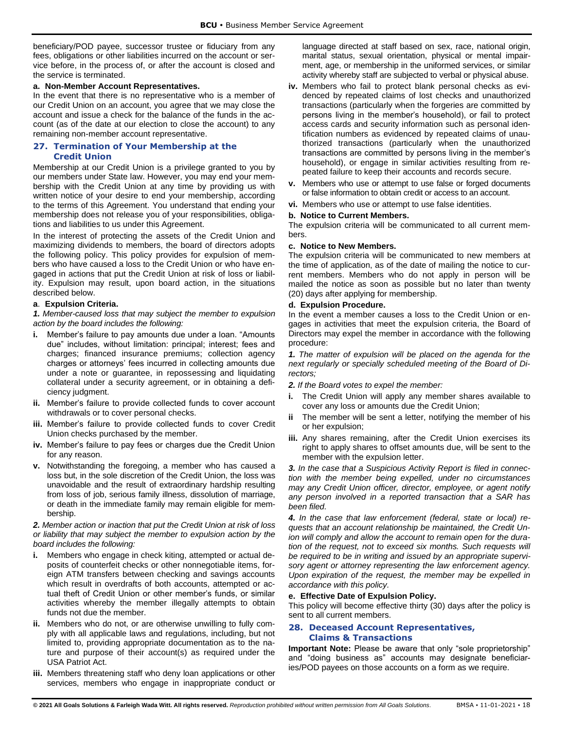beneficiary/POD payee, successor trustee or fiduciary from any fees, obligations or other liabilities incurred on the account or service before, in the process of, or after the account is closed and the service is terminated.

## **a. Non-Member Account Representatives.**

In the event that there is no representative who is a member of our Credit Union on an account, you agree that we may close the account and issue a check for the balance of the funds in the account (as of the date at our election to close the account) to any remaining non-member account representative.

## <span id="page-18-0"></span>**27. Termination of Your Membership at the Credit Union**

Membership at our Credit Union is a privilege granted to you by our members under State law. However, you may end your membership with the Credit Union at any time by providing us with written notice of your desire to end your membership, according to the terms of this Agreement. You understand that ending your membership does not release you of your responsibilities, obligations and liabilities to us under this Agreement.

In the interest of protecting the assets of the Credit Union and maximizing dividends to members, the board of directors adopts the following policy. This policy provides for expulsion of members who have caused a loss to the Credit Union or who have engaged in actions that put the Credit Union at risk of loss or liability. Expulsion may result, upon board action, in the situations described below.

## **a**. **Expulsion Criteria.**

*1. Member-caused loss that may subject the member to expulsion action by the board includes the following:*

- **i.** Member's failure to pay amounts due under a loan. "Amounts due" includes, without limitation: principal; interest; fees and charges; financed insurance premiums; collection agency charges or attorneys' fees incurred in collecting amounts due under a note or guarantee, in repossessing and liquidating collateral under a security agreement, or in obtaining a deficiency judgment.
- **ii.** Member's failure to provide collected funds to cover account withdrawals or to cover personal checks.
- **iii.** Member's failure to provide collected funds to cover Credit Union checks purchased by the member.
- **iv.** Member's failure to pay fees or charges due the Credit Union for any reason.
- **v.** Notwithstanding the foregoing, a member who has caused a loss but, in the sole discretion of the Credit Union, the loss was unavoidable and the result of extraordinary hardship resulting from loss of job, serious family illness, dissolution of marriage, or death in the immediate family may remain eligible for membership.

#### *2. Member action or inaction that put the Credit Union at risk of loss or liability that may subject the member to expulsion action by the board includes the following:*

- **i.** Members who engage in check kiting, attempted or actual deposits of counterfeit checks or other nonnegotiable items, foreign ATM transfers between checking and savings accounts which result in overdrafts of both accounts, attempted or actual theft of Credit Union or other member's funds, or similar activities whereby the member illegally attempts to obtain funds not due the member.
- **ii.** Members who do not, or are otherwise unwilling to fully comply with all applicable laws and regulations, including, but not limited to, providing appropriate documentation as to the nature and purpose of their account(s) as required under the USA Patriot Act.
- **iii.** Members threatening staff who deny loan applications or other services, members who engage in inappropriate conduct or

language directed at staff based on sex, race, national origin, marital status, sexual orientation, physical or mental impairment, age, or membership in the uniformed services, or similar activity whereby staff are subjected to verbal or physical abuse.

- **iv.** Members who fail to protect blank personal checks as evidenced by repeated claims of lost checks and unauthorized transactions (particularly when the forgeries are committed by persons living in the member's household), or fail to protect access cards and security information such as personal identification numbers as evidenced by repeated claims of unauthorized transactions (particularly when the unauthorized transactions are committed by persons living in the member's household), or engage in similar activities resulting from repeated failure to keep their accounts and records secure.
- **v.** Members who use or attempt to use false or forged documents or false information to obtain credit or access to an account.
- **vi.** Members who use or attempt to use false identities.

## **b. Notice to Current Members.**

The expulsion criteria will be communicated to all current members.

## **c. Notice to New Members.**

The expulsion criteria will be communicated to new members at the time of application, as of the date of mailing the notice to current members. Members who do not apply in person will be mailed the notice as soon as possible but no later than twenty (20) days after applying for membership.

## **d. Expulsion Procedure.**

In the event a member causes a loss to the Credit Union or engages in activities that meet the expulsion criteria, the Board of Directors may expel the member in accordance with the following procedure:

*1. The matter of expulsion will be placed on the agenda for the next regularly or specially scheduled meeting of the Board of Directors;*

*2. If the Board votes to expel the member:*

- **i.** The Credit Union will apply any member shares available to cover any loss or amounts due the Credit Union;
- **ii** The member will be sent a letter, notifying the member of his or her expulsion;
- **iii.** Any shares remaining, after the Credit Union exercises its right to apply shares to offset amounts due, will be sent to the member with the expulsion letter.

*3. In the case that a Suspicious Activity Report is filed in connection with the member being expelled, under no circumstances may any Credit Union officer, director, employee, or agent notify any person involved in a reported transaction that a SAR has been filed.* 

*4. In the case that law enforcement (federal, state or local) requests that an account relationship be maintained, the Credit Union will comply and allow the account to remain open for the duration of the request, not to exceed six months. Such requests will be required to be in writing and issued by an appropriate supervisory agent or attorney representing the law enforcement agency. Upon expiration of the request, the member may be expelled in accordance with this policy.* 

## **e. Effective Date of Expulsion Policy.**

This policy will become effective thirty (30) days after the policy is sent to all current members.

# <span id="page-18-1"></span>**28. Deceased Account Representatives, Claims & Transactions**

**Important Note:** Please be aware that only "sole proprietorship" and "doing business as" accounts may designate beneficiaries/POD payees on those accounts on a form as we require.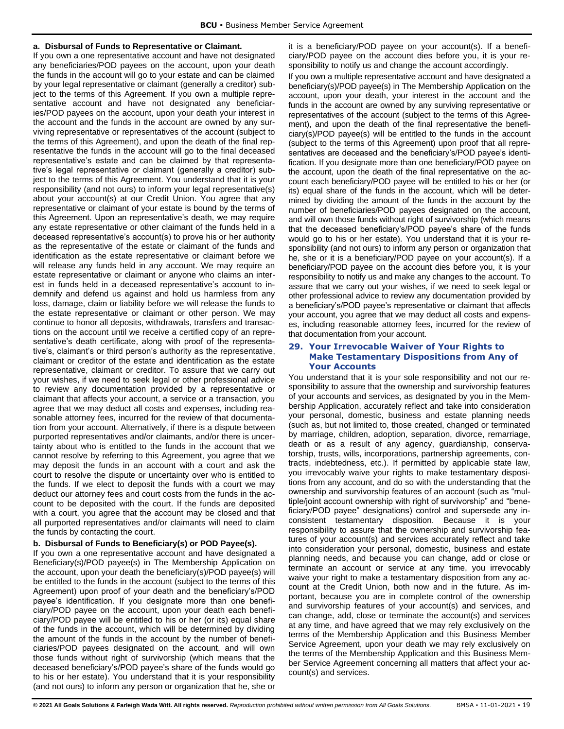#### **a. Disbursal of Funds to Representative or Claimant.**

If you own a one representative account and have not designated any beneficiaries/POD payees on the account, upon your death the funds in the account will go to your estate and can be claimed by your legal representative or claimant (generally a creditor) subject to the terms of this Agreement. If you own a multiple representative account and have not designated any beneficiaries/POD payees on the account, upon your death your interest in the account and the funds in the account are owned by any surviving representative or representatives of the account (subject to the terms of this Agreement), and upon the death of the final representative the funds in the account will go to the final deceased representative's estate and can be claimed by that representative's legal representative or claimant (generally a creditor) subject to the terms of this Agreement. You understand that it is your responsibility (and not ours) to inform your legal representative(s) about your account(s) at our Credit Union. You agree that any representative or claimant of your estate is bound by the terms of this Agreement. Upon an representative's death, we may require any estate representative or other claimant of the funds held in a deceased representative's account(s) to prove his or her authority as the representative of the estate or claimant of the funds and identification as the estate representative or claimant before we will release any funds held in any account. We may require an estate representative or claimant or anyone who claims an interest in funds held in a deceased representative's account to indemnify and defend us against and hold us harmless from any loss, damage, claim or liability before we will release the funds to the estate representative or claimant or other person. We may continue to honor all deposits, withdrawals, transfers and transactions on the account until we receive a certified copy of an representative's death certificate, along with proof of the representative's, claimant's or third person's authority as the representative, claimant or creditor of the estate and identification as the estate representative, claimant or creditor. To assure that we carry out your wishes, if we need to seek legal or other professional advice to review any documentation provided by a representative or claimant that affects your account, a service or a transaction, you agree that we may deduct all costs and expenses, including reasonable attorney fees, incurred for the review of that documentation from your account. Alternatively, if there is a dispute between purported representatives and/or claimants, and/or there is uncertainty about who is entitled to the funds in the account that we cannot resolve by referring to this Agreement, you agree that we may deposit the funds in an account with a court and ask the court to resolve the dispute or uncertainty over who is entitled to the funds. If we elect to deposit the funds with a court we may deduct our attorney fees and court costs from the funds in the account to be deposited with the court. If the funds are deposited with a court, you agree that the account may be closed and that all purported representatives and/or claimants will need to claim the funds by contacting the court.

#### **b. Disbursal of Funds to Beneficiary(s) or POD Payee(s).**

If you own a one representative account and have designated a Beneficiary(s)/POD payee(s) in The Membership Application on the account, upon your death the beneficiary(s)/POD payee(s) will be entitled to the funds in the account (subject to the terms of this Agreement) upon proof of your death and the beneficiary's/POD payee's identification. If you designate more than one beneficiary/POD payee on the account, upon your death each beneficiary/POD payee will be entitled to his or her (or its) equal share of the funds in the account, which will be determined by dividing the amount of the funds in the account by the number of beneficiaries/POD payees designated on the account, and will own those funds without right of survivorship (which means that the deceased beneficiary's/POD payee's share of the funds would go to his or her estate). You understand that it is your responsibility (and not ours) to inform any person or organization that he, she or it is a beneficiary/POD payee on your account(s). If a beneficiary/POD payee on the account dies before you, it is your responsibility to notify us and change the account accordingly.

If you own a multiple representative account and have designated a beneficiary(s)/POD payee(s) in The Membership Application on the account, upon your death, your interest in the account and the funds in the account are owned by any surviving representative or representatives of the account (subject to the terms of this Agreement), and upon the death of the final representative the beneficiary(s)/POD payee(s) will be entitled to the funds in the account (subject to the terms of this Agreement) upon proof that all representatives are deceased and the beneficiary's/POD payee's identification. If you designate more than one beneficiary/POD payee on the account, upon the death of the final representative on the account each beneficiary/POD payee will be entitled to his or her (or its) equal share of the funds in the account, which will be determined by dividing the amount of the funds in the account by the number of beneficiaries/POD payees designated on the account, and will own those funds without right of survivorship (which means that the deceased beneficiary's/POD payee's share of the funds would go to his or her estate). You understand that it is your responsibility (and not ours) to inform any person or organization that he, she or it is a beneficiary/POD payee on your account(s). If a beneficiary/POD payee on the account dies before you, it is your responsibility to notify us and make any changes to the account. To assure that we carry out your wishes, if we need to seek legal or other professional advice to review any documentation provided by a beneficiary's/POD payee's representative or claimant that affects your account, you agree that we may deduct all costs and expenses, including reasonable attorney fees, incurred for the review of that documentation from your account.

## <span id="page-19-0"></span>**29. Your Irrevocable Waiver of Your Rights to Make Testamentary Dispositions from Any of Your Accounts**

You understand that it is your sole responsibility and not our responsibility to assure that the ownership and survivorship features of your accounts and services, as designated by you in the Membership Application, accurately reflect and take into consideration your personal, domestic, business and estate planning needs (such as, but not limited to, those created, changed or terminated by marriage, children, adoption, separation, divorce, remarriage, death or as a result of any agency, guardianship, conservatorship, trusts, wills, incorporations, partnership agreements, contracts, indebtedness, etc.). If permitted by applicable state law, you irrevocably waive your rights to make testamentary dispositions from any account, and do so with the understanding that the ownership and survivorship features of an account (such as "multiple/joint account ownership with right of survivorship" and "beneficiary/POD payee" designations) control and supersede any inconsistent testamentary disposition. Because it is your responsibility to assure that the ownership and survivorship features of your account(s) and services accurately reflect and take into consideration your personal, domestic, business and estate planning needs, and because you can change, add or close or terminate an account or service at any time, you irrevocably waive your right to make a testamentary disposition from any account at the Credit Union, both now and in the future. As important, because you are in complete control of the ownership and survivorship features of your account(s) and services, and can change, add, close or terminate the account(s) and services at any time, and have agreed that we may rely exclusively on the terms of the Membership Application and this Business Member Service Agreement, upon your death we may rely exclusively on the terms of the Membership Application and this Business Member Service Agreement concerning all matters that affect your account(s) and services.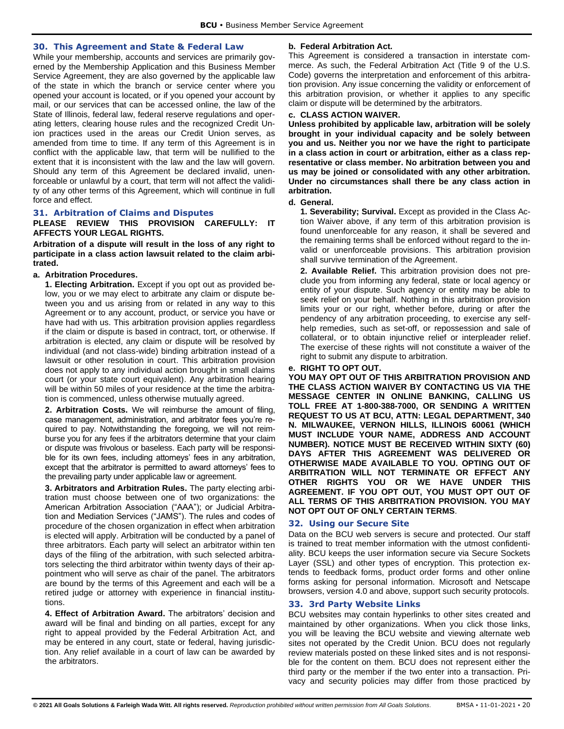#### <span id="page-20-0"></span>**30. This Agreement and State & Federal Law**

While your membership, accounts and services are primarily governed by the Membership Application and this Business Member Service Agreement, they are also governed by the applicable law of the state in which the branch or service center where you opened your account is located, or if you opened your account by mail, or our services that can be accessed online, the law of the State of Illinois, federal law, federal reserve regulations and operating letters, clearing house rules and the recognized Credit Union practices used in the areas our Credit Union serves, as amended from time to time. If any term of this Agreement is in conflict with the applicable law, that term will be nullified to the extent that it is inconsistent with the law and the law will govern. Should any term of this Agreement be declared invalid, unenforceable or unlawful by a court, that term will not affect the validity of any other terms of this Agreement, which will continue in full force and effect.

#### <span id="page-20-1"></span>**31. Arbitration of Claims and Disputes**

## **PLEASE REVIEW THIS PROVISION CAREFULLY: IT AFFECTS YOUR LEGAL RIGHTS.**

**Arbitration of a dispute will result in the loss of any right to participate in a class action lawsuit related to the claim arbitrated.**

## **a. Arbitration Procedures.**

**1. Electing Arbitration.** Except if you opt out as provided below, you or we may elect to arbitrate any claim or dispute between you and us arising from or related in any way to this Agreement or to any account, product, or service you have or have had with us. This arbitration provision applies regardless if the claim or dispute is based in contract, tort, or otherwise. If arbitration is elected, any claim or dispute will be resolved by individual (and not class-wide) binding arbitration instead of a lawsuit or other resolution in court. This arbitration provision does not apply to any individual action brought in small claims court (or your state court equivalent). Any arbitration hearing will be within 50 miles of your residence at the time the arbitration is commenced, unless otherwise mutually agreed.

**2. Arbitration Costs.** We will reimburse the amount of filing, case management, administration, and arbitrator fees you're required to pay. Notwithstanding the foregoing, we will not reimburse you for any fees if the arbitrators determine that your claim or dispute was frivolous or baseless. Each party will be responsible for its own fees, including attorneys' fees in any arbitration, except that the arbitrator is permitted to award attorneys' fees to the prevailing party under applicable law or agreement.

**3. Arbitrators and Arbitration Rules.** The party electing arbitration must choose between one of two organizations: the American Arbitration Association ("AAA"); or Judicial Arbitration and Mediation Services ("JAMS"). The rules and codes of procedure of the chosen organization in effect when arbitration is elected will apply. Arbitration will be conducted by a panel of three arbitrators. Each party will select an arbitrator within ten days of the filing of the arbitration, with such selected arbitrators selecting the third arbitrator within twenty days of their appointment who will serve as chair of the panel. The arbitrators are bound by the terms of this Agreement and each will be a retired judge or attorney with experience in financial institutions.

**4. Effect of Arbitration Award.** The arbitrators' decision and award will be final and binding on all parties, except for any right to appeal provided by the Federal Arbitration Act, and may be entered in any court, state or federal, having jurisdiction. Any relief available in a court of law can be awarded by the arbitrators.

## **b. Federal Arbitration Act.**

This Agreement is considered a transaction in interstate commerce. As such, the Federal Arbitration Act (Title 9 of the U.S. Code) governs the interpretation and enforcement of this arbitration provision. Any issue concerning the validity or enforcement of this arbitration provision, or whether it applies to any specific claim or dispute will be determined by the arbitrators.

#### **c. CLASS ACTION WAIVER.**

**Unless prohibited by applicable law, arbitration will be solely brought in your individual capacity and be solely between you and us. Neither you nor we have the right to participate in a class action in court or arbitration, either as a class representative or class member. No arbitration between you and us may be joined or consolidated with any other arbitration. Under no circumstances shall there be any class action in arbitration.**

#### **d. General.**

**1. Severability; Survival.** Except as provided in the Class Action Waiver above, if any term of this arbitration provision is found unenforceable for any reason, it shall be severed and the remaining terms shall be enforced without regard to the invalid or unenforceable provisions. This arbitration provision shall survive termination of the Agreement.

**2. Available Relief.** This arbitration provision does not preclude you from informing any federal, state or local agency or entity of your dispute. Such agency or entity may be able to seek relief on your behalf. Nothing in this arbitration provision limits your or our right, whether before, during or after the pendency of any arbitration proceeding, to exercise any selfhelp remedies, such as set-off, or repossession and sale of collateral, or to obtain injunctive relief or interpleader relief. The exercise of these rights will not constitute a waiver of the right to submit any dispute to arbitration.

## **e. RIGHT TO OPT OUT.**

**YOU MAY OPT OUT OF THIS ARBITRATION PROVISION AND THE CLASS ACTION WAIVER BY CONTACTING US VIA THE MESSAGE CENTER IN ONLINE BANKING, CALLING US TOLL FREE AT 1-800-388-7000, OR SENDING A WRITTEN REQUEST TO US AT BCU, ATTN: LEGAL DEPARTMENT, 340 N. MILWAUKEE, VERNON HILLS, ILLINOIS 60061 (WHICH MUST INCLUDE YOUR NAME, ADDRESS AND ACCOUNT NUMBER). NOTICE MUST BE RECEIVED WITHIN SIXTY (60) DAYS AFTER THIS AGREEMENT WAS DELIVERED OR OTHERWISE MADE AVAILABLE TO YOU. OPTING OUT OF ARBITRATION WILL NOT TERMINATE OR EFFECT ANY OTHER RIGHTS YOU OR WE HAVE UNDER THIS AGREEMENT. IF YOU OPT OUT, YOU MUST OPT OUT OF ALL TERMS OF THIS ARBITRATION PROVISION. YOU MAY NOT OPT OUT OF ONLY CERTAIN TERMS**.

#### <span id="page-20-2"></span>**32. Using our Secure Site**

Data on the BCU web servers is secure and protected. Our staff is trained to treat member information with the utmost confidentiality. BCU keeps the user information secure via Secure Sockets Layer (SSL) and other types of encryption. This protection extends to feedback forms, product order forms and other online forms asking for personal information. Microsoft and Netscape browsers, version 4.0 and above, support such security protocols.

#### <span id="page-20-3"></span>**33. 3rd Party Website Links**

BCU websites may contain hyperlinks to other sites created and maintained by other organizations. When you click those links, you will be leaving the BCU website and viewing alternate web sites not operated by the Credit Union. BCU does not regularly review materials posted on these linked sites and is not responsible for the content on them. BCU does not represent either the third party or the member if the two enter into a transaction. Privacy and security policies may differ from those practiced by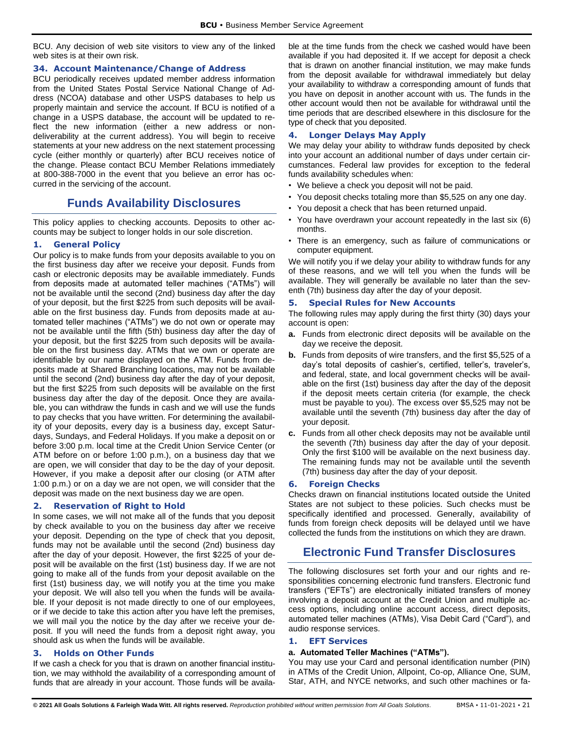BCU. Any decision of web site visitors to view any of the linked web sites is at their own risk.

## <span id="page-21-0"></span>**34. Account Maintenance/Change of Address**

BCU periodically receives updated member address information from the United States Postal Service National Change of Address (NCOA) database and other USPS databases to help us properly maintain and service the account. If BCU is notified of a change in a USPS database, the account will be updated to reflect the new information (either a new address or nondeliverability at the current address). You will begin to receive statements at your new address on the next statement processing cycle (either monthly or quarterly) after BCU receives notice of the change. Please contact BCU Member Relations immediately at 800-388-7000 in the event that you believe an error has occurred in the servicing of the account.

# **Funds Availability Disclosures**

<span id="page-21-1"></span>This policy applies to checking accounts. Deposits to other accounts may be subject to longer holds in our sole discretion.

# <span id="page-21-2"></span>**1. General Policy**

Our policy is to make funds from your deposits available to you on the first business day after we receive your deposit. Funds from cash or electronic deposits may be available immediately. Funds from deposits made at automated teller machines ("ATMs") will not be available until the second (2nd) business day after the day of your deposit, but the first \$225 from such deposits will be available on the first business day. Funds from deposits made at automated teller machines ("ATMs") we do not own or operate may not be available until the fifth (5th) business day after the day of your deposit, but the first \$225 from such deposits will be available on the first business day. ATMs that we own or operate are identifiable by our name displayed on the ATM. Funds from deposits made at Shared Branching locations, may not be available until the second (2nd) business day after the day of your deposit, but the first \$225 from such deposits will be available on the first business day after the day of the deposit. Once they are available, you can withdraw the funds in cash and we will use the funds to pay checks that you have written. For determining the availability of your deposits, every day is a business day, except Saturdays, Sundays, and Federal Holidays. If you make a deposit on or before 3:00 p.m. local time at the Credit Union Service Center (or ATM before on or before 1:00 p.m.), on a business day that we are open, we will consider that day to be the day of your deposit. However, if you make a deposit after our closing (or ATM after 1:00 p.m.) or on a day we are not open, we will consider that the deposit was made on the next business day we are open.

# <span id="page-21-3"></span>**2. Reservation of Right to Hold**

In some cases, we will not make all of the funds that you deposit by check available to you on the business day after we receive your deposit. Depending on the type of check that you deposit, funds may not be available until the second (2nd) business day after the day of your deposit. However, the first \$225 of your deposit will be available on the first (1st) business day. If we are not going to make all of the funds from your deposit available on the first (1st) business day, we will notify you at the time you make your deposit. We will also tell you when the funds will be available. If your deposit is not made directly to one of our employees, or if we decide to take this action after you have left the premises, we will mail you the notice by the day after we receive your deposit. If you will need the funds from a deposit right away, you should ask us when the funds will be available.

# <span id="page-21-4"></span>**3. Holds on Other Funds**

If we cash a check for you that is drawn on another financial institution, we may withhold the availability of a corresponding amount of funds that are already in your account. Those funds will be available at the time funds from the check we cashed would have been available if you had deposited it. If we accept for deposit a check that is drawn on another financial institution, we may make funds from the deposit available for withdrawal immediately but delay your availability to withdraw a corresponding amount of funds that you have on deposit in another account with us. The funds in the other account would then not be available for withdrawal until the time periods that are described elsewhere in this disclosure for the type of check that you deposited.

# <span id="page-21-5"></span>**4. Longer Delays May Apply**

We may delay your ability to withdraw funds deposited by check into your account an additional number of days under certain circumstances. Federal law provides for exception to the federal funds availability schedules when:

- We believe a check you deposit will not be paid.
- You deposit checks totaling more than \$5,525 on any one day.
- You deposit a check that has been returned unpaid.
- You have overdrawn your account repeatedly in the last six (6) months.
- There is an emergency, such as failure of communications or computer equipment.

We will notify you if we delay your ability to withdraw funds for any of these reasons, and we will tell you when the funds will be available. They will generally be available no later than the seventh (7th) business day after the day of your deposit.

# <span id="page-21-6"></span>**5. Special Rules for New Accounts**

The following rules may apply during the first thirty (30) days your account is open:

- **a.** Funds from electronic direct deposits will be available on the day we receive the deposit.
- **b.** Funds from deposits of wire transfers, and the first \$5,525 of a day's total deposits of cashier's, certified, teller's, traveler's, and federal, state, and local government checks will be available on the first (1st) business day after the day of the deposit if the deposit meets certain criteria (for example, the check must be payable to you). The excess over \$5,525 may not be available until the seventh (7th) business day after the day of your deposit.
- **c.** Funds from all other check deposits may not be available until the seventh (7th) business day after the day of your deposit. Only the first \$100 will be available on the next business day. The remaining funds may not be available until the seventh (7th) business day after the day of your deposit.

## <span id="page-21-7"></span>**6. Foreign Checks**

Checks drawn on financial institutions located outside the United States are not subject to these policies. Such checks must be specifically identified and processed. Generally, availability of funds from foreign check deposits will be delayed until we have collected the funds from the institutions on which they are drawn.

# <span id="page-21-8"></span>**Electronic Fund Transfer Disclosures**

The following disclosures set forth your and our rights and responsibilities concerning electronic fund transfers. Electronic fund transfers ("EFTs") are electronically initiated transfers of money involving a deposit account at the Credit Union and multiple access options, including online account access, direct deposits, automated teller machines (ATMs), Visa Debit Card ("Card"), and audio response services.

## <span id="page-21-9"></span>**1. EFT Services**

#### **a. Automated Teller Machines ("ATMs").**

You may use your Card and personal identification number (PIN) in ATMs of the Credit Union, Allpoint, Co-op, Alliance One, SUM, Star, ATH, and NYCE networks, and such other machines or fa-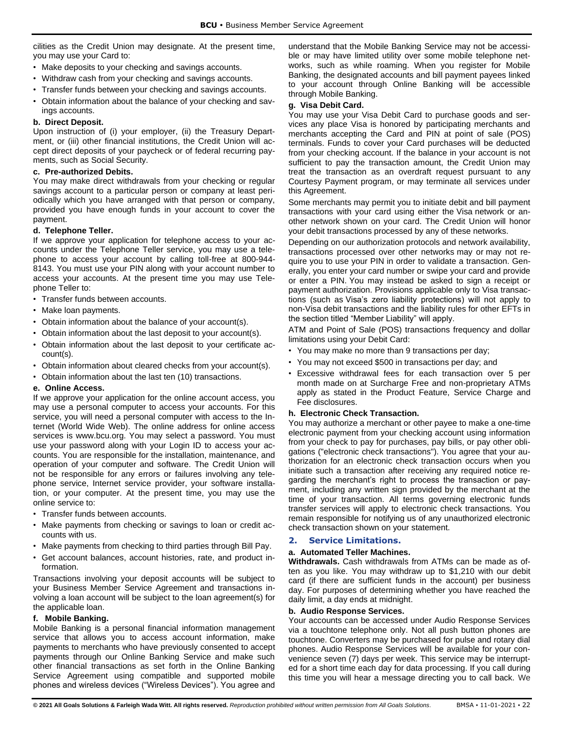cilities as the Credit Union may designate. At the present time, you may use your Card to:

- Make deposits to your checking and savings accounts.
- Withdraw cash from your checking and savings accounts.
- Transfer funds between your checking and savings accounts.
- Obtain information about the balance of your checking and savings accounts.

## **b. Direct Deposit.**

Upon instruction of (i) your employer, (ii) the Treasury Department, or (iii) other financial institutions, the Credit Union will accept direct deposits of your paycheck or of federal recurring payments, such as Social Security.

## **c. Pre-authorized Debits.**

You may make direct withdrawals from your checking or regular savings account to a particular person or company at least periodically which you have arranged with that person or company, provided you have enough funds in your account to cover the payment.

# **d. Telephone Teller.**

If we approve your application for telephone access to your accounts under the Telephone Teller service, you may use a telephone to access your account by calling toll-free at 800-944- 8143. You must use your PIN along with your account number to access your accounts. At the present time you may use Telephone Teller to:

- Transfer funds between accounts.
- Make loan payments.
- Obtain information about the balance of your account(s).
- Obtain information about the last deposit to your account(s).
- Obtain information about the last deposit to your certificate account(s).
- Obtain information about cleared checks from your account(s).
- Obtain information about the last ten (10) transactions.

## **e. Online Access.**

If we approve your application for the online account access, you may use a personal computer to access your accounts. For this service, you will need a personal computer with access to the Internet (World Wide Web). The online address for online access services is www.bcu.org. You may select a password. You must use your password along with your Login ID to access your accounts. You are responsible for the installation, maintenance, and operation of your computer and software. The Credit Union will not be responsible for any errors or failures involving any telephone service, Internet service provider, your software installation, or your computer. At the present time, you may use the online service to:

- Transfer funds between accounts.
- Make payments from checking or savings to loan or credit accounts with us.
- Make payments from checking to third parties through Bill Pay.
- Get account balances, account histories, rate, and product information.

Transactions involving your deposit accounts will be subject to your Business Member Service Agreement and transactions involving a loan account will be subject to the loan agreement(s) for the applicable loan.

## **f. Mobile Banking.**

Mobile Banking is a personal financial information management service that allows you to access account information, make payments to merchants who have previously consented to accept payments through our Online Banking Service and make such other financial transactions as set forth in the Online Banking Service Agreement using compatible and supported mobile phones and wireless devices ("Wireless Devices"). You agree and understand that the Mobile Banking Service may not be accessible or may have limited utility over some mobile telephone networks, such as while roaming. When you register for Mobile Banking, the designated accounts and bill payment payees linked to your account through Online Banking will be accessible through Mobile Banking.

# **g. Visa Debit Card.**

You may use your Visa Debit Card to purchase goods and services any place Visa is honored by participating merchants and merchants accepting the Card and PIN at point of sale (POS) terminals. Funds to cover your Card purchases will be deducted from your checking account. If the balance in your account is not sufficient to pay the transaction amount, the Credit Union may treat the transaction as an overdraft request pursuant to any Courtesy Payment program, or may terminate all services under this Agreement.

Some merchants may permit you to initiate debit and bill payment transactions with your card using either the Visa network or another network shown on your card. The Credit Union will honor your debit transactions processed by any of these networks.

Depending on our authorization protocols and network availability, transactions processed over other networks may or may not require you to use your PIN in order to validate a transaction. Generally, you enter your card number or swipe your card and provide or enter a PIN. You may instead be asked to sign a receipt or payment authorization. Provisions applicable only to Visa transactions (such as Visa's zero liability protections) will not apply to non-Visa debit transactions and the liability rules for other EFTs in the section titled "Member Liability" will apply.

ATM and Point of Sale (POS) transactions frequency and dollar limitations using your Debit Card:

- You may make no more than 9 transactions per day;
- You may not exceed \$500 in transactions per day; and
- Excessive withdrawal fees for each transaction over 5 per month made on at Surcharge Free and non-proprietary ATMs apply as stated in the Product Feature, Service Charge and Fee disclosures.

# **h. Electronic Check Transaction.**

You may authorize a merchant or other payee to make a one-time electronic payment from your checking account using information from your check to pay for purchases, pay bills, or pay other obligations ("electronic check transactions"). You agree that your authorization for an electronic check transaction occurs when you initiate such a transaction after receiving any required notice regarding the merchant's right to process the transaction or payment, including any written sign provided by the merchant at the time of your transaction. All terms governing electronic funds transfer services will apply to electronic check transactions. You remain responsible for notifying us of any unauthorized electronic check transaction shown on your statement.

# <span id="page-22-0"></span>**2. Service Limitations.**

# **a. Automated Teller Machines.**

**Withdrawals.** Cash withdrawals from ATMs can be made as often as you like. You may withdraw up to \$1,210 with our debit card (if there are sufficient funds in the account) per business day. For purposes of determining whether you have reached the daily limit, a day ends at midnight.

## **b. Audio Response Services.**

Your accounts can be accessed under Audio Response Services via a touchtone telephone only. Not all push button phones are touchtone. Converters may be purchased for pulse and rotary dial phones. Audio Response Services will be available for your convenience seven (7) days per week. This service may be interrupted for a short time each day for data processing. If you call during this time you will hear a message directing you to call back. We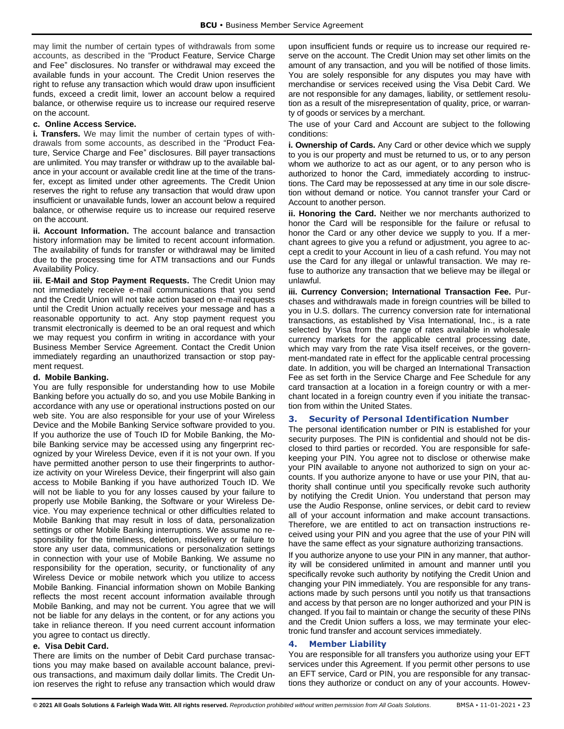may limit the number of certain types of withdrawals from some accounts, as described in the "Product Feature, Service Charge and Fee" disclosures. No transfer or withdrawal may exceed the available funds in your account. The Credit Union reserves the right to refuse any transaction which would draw upon insufficient funds, exceed a credit limit, lower an account below a required balance, or otherwise require us to increase our required reserve on the account.

## **c. Online Access Service.**

**i. Transfers.** We may limit the number of certain types of withdrawals from some accounts, as described in the "Product Feature, Service Charge and Fee" disclosures. Bill payer transactions are unlimited. You may transfer or withdraw up to the available balance in your account or available credit line at the time of the transfer, except as limited under other agreements. The Credit Union reserves the right to refuse any transaction that would draw upon insufficient or unavailable funds, lower an account below a required balance, or otherwise require us to increase our required reserve on the account.

**ii. Account Information.** The account balance and transaction history information may be limited to recent account information. The availability of funds for transfer or withdrawal may be limited due to the processing time for ATM transactions and our Funds Availability Policy.

**iii. E-Mail and Stop Payment Requests.** The Credit Union may not immediately receive e-mail communications that you send and the Credit Union will not take action based on e-mail requests until the Credit Union actually receives your message and has a reasonable opportunity to act. Any stop payment request you transmit electronically is deemed to be an oral request and which we may request you confirm in writing in accordance with your Business Member Service Agreement. Contact the Credit Union immediately regarding an unauthorized transaction or stop payment request.

#### **d. Mobile Banking.**

You are fully responsible for understanding how to use Mobile Banking before you actually do so, and you use Mobile Banking in accordance with any use or operational instructions posted on our web site. You are also responsible for your use of your Wireless Device and the Mobile Banking Service software provided to you. If you authorize the use of Touch ID for Mobile Banking, the Mobile Banking service may be accessed using any fingerprint recognized by your Wireless Device, even if it is not your own. If you have permitted another person to use their fingerprints to authorize activity on your Wireless Device, their fingerprint will also gain access to Mobile Banking if you have authorized Touch ID. We will not be liable to you for any losses caused by your failure to properly use Mobile Banking, the Software or your Wireless Device. You may experience technical or other difficulties related to Mobile Banking that may result in loss of data, personalization settings or other Mobile Banking interruptions. We assume no responsibility for the timeliness, deletion, misdelivery or failure to store any user data, communications or personalization settings in connection with your use of Mobile Banking. We assume no responsibility for the operation, security, or functionality of any Wireless Device or mobile network which you utilize to access Mobile Banking. Financial information shown on Mobile Banking reflects the most recent account information available through Mobile Banking, and may not be current. You agree that we will not be liable for any delays in the content, or for any actions you take in reliance thereon. If you need current account information you agree to contact us directly.

## **e. Visa Debit Card.**

There are limits on the number of Debit Card purchase transactions you may make based on available account balance, previous transactions, and maximum daily dollar limits. The Credit Union reserves the right to refuse any transaction which would draw upon insufficient funds or require us to increase our required reserve on the account. The Credit Union may set other limits on the amount of any transaction, and you will be notified of those limits. You are solely responsible for any disputes you may have with merchandise or services received using the Visa Debit Card. We are not responsible for any damages, liability, or settlement resolution as a result of the misrepresentation of quality, price, or warranty of goods or services by a merchant.

The use of your Card and Account are subject to the following conditions:

**i. Ownership of Cards.** Any Card or other device which we supply to you is our property and must be returned to us, or to any person whom we authorize to act as our agent, or to any person who is authorized to honor the Card, immediately according to instructions. The Card may be repossessed at any time in our sole discretion without demand or notice. You cannot transfer your Card or Account to another person.

**ii. Honoring the Card.** Neither we nor merchants authorized to honor the Card will be responsible for the failure or refusal to honor the Card or any other device we supply to you. If a merchant agrees to give you a refund or adjustment, you agree to accept a credit to your Account in lieu of a cash refund. You may not use the Card for any illegal or unlawful transaction. We may refuse to authorize any transaction that we believe may be illegal or unlawful.

**iii. Currency Conversion; International Transaction Fee.** Purchases and withdrawals made in foreign countries will be billed to you in U.S. dollars. The currency conversion rate for international transactions, as established by Visa International, Inc., is a rate selected by Visa from the range of rates available in wholesale currency markets for the applicable central processing date, which may vary from the rate Visa itself receives, or the government-mandated rate in effect for the applicable central processing date. In addition, you will be charged an International Transaction Fee as set forth in the Service Charge and Fee Schedule for any card transaction at a location in a foreign country or with a merchant located in a foreign country even if you initiate the transaction from within the United States.

## <span id="page-23-0"></span>**3. Security of Personal Identification Number**

The personal identification number or PIN is established for your security purposes. The PIN is confidential and should not be disclosed to third parties or recorded. You are responsible for safekeeping your PIN. You agree not to disclose or otherwise make your PIN available to anyone not authorized to sign on your accounts. If you authorize anyone to have or use your PIN, that authority shall continue until you specifically revoke such authority by notifying the Credit Union. You understand that person may use the Audio Response, online services, or debit card to review all of your account information and make account transactions. Therefore, we are entitled to act on transaction instructions received using your PIN and you agree that the use of your PIN will have the same effect as your signature authorizing transactions.

If you authorize anyone to use your PIN in any manner, that authority will be considered unlimited in amount and manner until you specifically revoke such authority by notifying the Credit Union and changing your PIN immediately. You are responsible for any transactions made by such persons until you notify us that transactions and access by that person are no longer authorized and your PIN is changed. If you fail to maintain or change the security of these PINs and the Credit Union suffers a loss, we may terminate your electronic fund transfer and account services immediately.

## <span id="page-23-1"></span>**4. Member Liability**

You are responsible for all transfers you authorize using your EFT services under this Agreement. If you permit other persons to use an EFT service, Card or PIN, you are responsible for any transactions they authorize or conduct on any of your accounts. Howev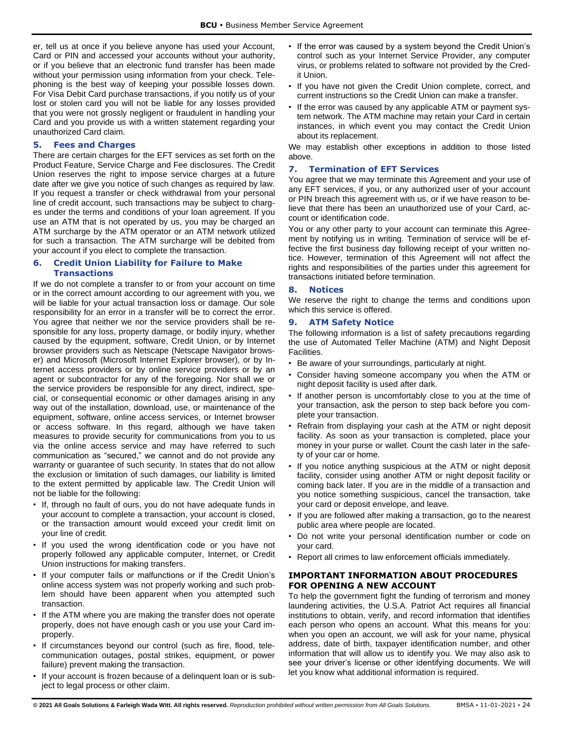er, tell us at once if you believe anyone has used your Account, Card or PIN and accessed your accounts without your authority, or if you believe that an electronic fund transfer has been made without your permission using information from your check. Telephoning is the best way of keeping your possible losses down. For Visa Debit Card purchase transactions, if you notify us of your lost or stolen card you will not be liable for any losses provided that you were not grossly negligent or fraudulent in handling your Card and you provide us with a written statement regarding your unauthorized Card claim.

## <span id="page-24-0"></span>**5. Fees and Charges**

There are certain charges for the EFT services as set forth on the Product Feature, Service Charge and Fee disclosures. The Credit Union reserves the right to impose service charges at a future date after we give you notice of such changes as required by law. If you request a transfer or check withdrawal from your personal line of credit account, such transactions may be subject to charges under the terms and conditions of your loan agreement. If you use an ATM that is not operated by us, you may be charged an ATM surcharge by the ATM operator or an ATM network utilized for such a transaction. The ATM surcharge will be debited from your account if you elect to complete the transaction.

## <span id="page-24-1"></span>**6. Credit Union Liability for Failure to Make Transactions**

If we do not complete a transfer to or from your account on time or in the correct amount according to our agreement with you, we will be liable for your actual transaction loss or damage. Our sole responsibility for an error in a transfer will be to correct the error. You agree that neither we nor the service providers shall be responsible for any loss, property damage, or bodily injury, whether caused by the equipment, software, Credit Union, or by Internet browser providers such as Netscape (Netscape Navigator browser) and Microsoft (Microsoft Internet Explorer browser), or by Internet access providers or by online service providers or by an agent or subcontractor for any of the foregoing. Nor shall we or the service providers be responsible for any direct, indirect, special, or consequential economic or other damages arising in any way out of the installation, download, use, or maintenance of the equipment, software, online access services, or Internet browser or access software. In this regard, although we have taken measures to provide security for communications from you to us via the online access service and may have referred to such communication as "secured," we cannot and do not provide any warranty or guarantee of such security. In states that do not allow the exclusion or limitation of such damages, our liability is limited to the extent permitted by applicable law. The Credit Union will not be liable for the following:

- If, through no fault of ours, you do not have adequate funds in your account to complete a transaction, your account is closed, or the transaction amount would exceed your credit limit on your line of credit.
- If you used the wrong identification code or you have not properly followed any applicable computer, Internet, or Credit Union instructions for making transfers.
- If your computer fails or malfunctions or if the Credit Union's online access system was not properly working and such problem should have been apparent when you attempted such transaction.
- If the ATM where you are making the transfer does not operate properly, does not have enough cash or you use your Card improperly.
- If circumstances beyond our control (such as fire, flood, telecommunication outages, postal strikes, equipment, or power failure) prevent making the transaction.
- If your account is frozen because of a delinquent loan or is subject to legal process or other claim.
- If the error was caused by a system beyond the Credit Union's control such as your Internet Service Provider, any computer virus, or problems related to software not provided by the Credit Union.
- If you have not given the Credit Union complete, correct, and current instructions so the Credit Union can make a transfer.
- If the error was caused by any applicable ATM or payment system network. The ATM machine may retain your Card in certain instances, in which event you may contact the Credit Union about its replacement.

We may establish other exceptions in addition to those listed above.

## <span id="page-24-2"></span>**7. Termination of EFT Services**

You agree that we may terminate this Agreement and your use of any EFT services, if you, or any authorized user of your account or PIN breach this agreement with us, or if we have reason to believe that there has been an unauthorized use of your Card, account or identification code.

You or any other party to your account can terminate this Agreement by notifying us in writing. Termination of service will be effective the first business day following receipt of your written notice. However, termination of this Agreement will not affect the rights and responsibilities of the parties under this agreement for transactions initiated before termination.

## <span id="page-24-3"></span>**8. Notices**

We reserve the right to change the terms and conditions upon which this service is offered.

## <span id="page-24-4"></span>**9. ATM Safety Notice**

The following information is a list of safety precautions regarding the use of Automated Teller Machine (ATM) and Night Deposit **Facilities** 

- Be aware of your surroundings, particularly at night.
- Consider having someone accompany you when the ATM or night deposit facility is used after dark.
- If another person is uncomfortably close to you at the time of your transaction, ask the person to step back before you complete your transaction.
- Refrain from displaying your cash at the ATM or night deposit facility. As soon as your transaction is completed, place your money in your purse or wallet. Count the cash later in the safety of your car or home.
- If you notice anything suspicious at the ATM or night deposit facility, consider using another ATM or night deposit facility or coming back later. If you are in the middle of a transaction and you notice something suspicious, cancel the transaction, take your card or deposit envelope, and leave.
- If you are followed after making a transaction, go to the nearest public area where people are located.
- Do not write your personal identification number or code on your card.
- Report all crimes to law enforcement officials immediately.

## <span id="page-24-5"></span>**IMPORTANT INFORMATION ABOUT PROCEDURES FOR OPENING A NEW ACCOUNT**

To help the government fight the funding of terrorism and money laundering activities, the U.S.A. Patriot Act requires all financial institutions to obtain, verify, and record information that identifies each person who opens an account. What this means for you: when you open an account, we will ask for your name, physical address, date of birth, taxpayer identification number, and other information that will allow us to identify you. We may also ask to see your driver's license or other identifying documents. We will let you know what additional information is required.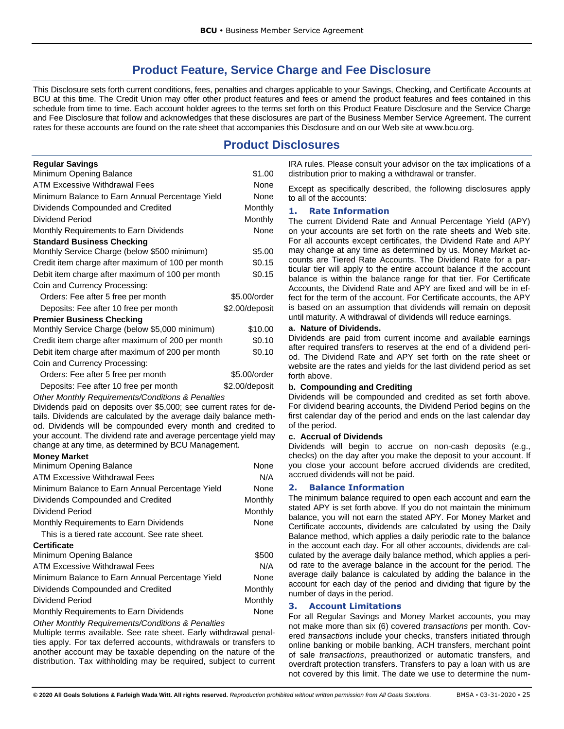# **Product Feature, Service Charge and Fee Disclosure**

<span id="page-25-0"></span>This Disclosure sets forth current conditions, fees, penalties and charges applicable to your Savings, Checking, and Certificate Accounts at BCU at this time. The Credit Union may offer other product features and fees or amend the product features and fees contained in this schedule from time to time. Each account holder agrees to the terms set forth on this Product Feature Disclosure and the Service Charge and Fee Disclosure that follow and acknowledges that these disclosures are part of the Business Member Service Agreement. The current rates for these accounts are found on the rate sheet that accompanies this Disclosure and on our Web site at www.bcu.org.

# **Product Disclosures**

<span id="page-25-1"></span>

| <b>Regular Savings</b>                            |                |
|---------------------------------------------------|----------------|
| Minimum Opening Balance                           | \$1.00         |
| <b>ATM Excessive Withdrawal Fees</b>              | None           |
| Minimum Balance to Earn Annual Percentage Yield   | None           |
| Dividends Compounded and Credited                 | Monthly        |
| Dividend Period                                   | Monthly        |
| Monthly Requirements to Earn Dividends            | None           |
| <b>Standard Business Checking</b>                 |                |
| Monthly Service Charge (below \$500 minimum)      | \$5.00         |
| Credit item charge after maximum of 100 per month | \$0.15         |
| Debit item charge after maximum of 100 per month  | \$0.15         |
| Coin and Currency Processing:                     |                |
| Orders: Fee after 5 free per month                | \$5.00/order   |
| Deposits: Fee after 10 free per month             | \$2.00/deposit |
| <b>Premier Business Checking</b>                  |                |
| Monthly Service Charge (below \$5,000 minimum)    | \$10.00        |
| Credit item charge after maximum of 200 per month | \$0.10         |
| Debit item charge after maximum of 200 per month  | \$0.10         |
| Coin and Currency Processing:                     |                |
| Orders: Fee after 5 free per month                | \$5.00/order   |
| Deposits: Fee after 10 free per month             | \$2.00/deposit |

*Other Monthly Requirements/Conditions & Penalties*

Dividends paid on deposits over \$5,000; see current rates for details. Dividends are calculated by the average daily balance method. Dividends will be compounded every month and credited to your account. The dividend rate and average percentage yield may change at any time, as determined by BCU Management.

#### **Money Market**

| Minimum Opening Balance                         | None           |
|-------------------------------------------------|----------------|
| ATM Excessive Withdrawal Fees                   | N/A            |
| Minimum Balance to Earn Annual Percentage Yield | None           |
| Dividends Compounded and Credited               | Monthly        |
| Dividend Period                                 | <b>Monthly</b> |
| Monthly Requirements to Earn Dividends          | None           |
| This is a tiered rate account. See rate sheet.  |                |
| <b>Certificate</b>                              |                |
| Minimum Opening Balance                         | \$500          |
| ATM Excessive Withdrawal Fees                   | N/A            |
| Minimum Balance to Earn Annual Percentage Yield | None           |
| Dividends Compounded and Credited               | Monthly        |
| Dividend Period                                 | <b>Monthly</b> |
| Monthly Requirements to Earn Dividends          | None           |

*Other Monthly Requirements/Conditions & Penalties*

Multiple terms available. See rate sheet. Early withdrawal penalties apply. For tax deferred accounts, withdrawals or transfers to another account may be taxable depending on the nature of the distribution. Tax withholding may be required, subject to current IRA rules. Please consult your advisor on the tax implications of a distribution prior to making a withdrawal or transfer.

Except as specifically described, the following disclosures apply to all of the accounts:

## <span id="page-25-2"></span>**1. Rate Information**

The current Dividend Rate and Annual Percentage Yield (APY) on your accounts are set forth on the rate sheets and Web site. For all accounts except certificates, the Dividend Rate and APY may change at any time as determined by us. Money Market accounts are Tiered Rate Accounts. The Dividend Rate for a particular tier will apply to the entire account balance if the account balance is within the balance range for that tier. For Certificate Accounts, the Dividend Rate and APY are fixed and will be in effect for the term of the account. For Certificate accounts, the APY is based on an assumption that dividends will remain on deposit until maturity. A withdrawal of dividends will reduce earnings.

#### **a. Nature of Dividends.**

Dividends are paid from current income and available earnings after required transfers to reserves at the end of a dividend period. The Dividend Rate and APY set forth on the rate sheet or website are the rates and yields for the last dividend period as set forth above.

#### **b. Compounding and Crediting**

Dividends will be compounded and credited as set forth above. For dividend bearing accounts, the Dividend Period begins on the first calendar day of the period and ends on the last calendar day of the period.

#### **c. Accrual of Dividends**

Dividends will begin to accrue on non-cash deposits (e.g., checks) on the day after you make the deposit to your account. If you close your account before accrued dividends are credited, accrued dividends will not be paid.

#### <span id="page-25-3"></span>**2. Balance Information**

The minimum balance required to open each account and earn the stated APY is set forth above. If you do not maintain the minimum balance, you will not earn the stated APY. For Money Market and Certificate accounts, dividends are calculated by using the Daily Balance method, which applies a daily periodic rate to the balance in the account each day. For all other accounts, dividends are calculated by the average daily balance method, which applies a period rate to the average balance in the account for the period. The average daily balance is calculated by adding the balance in the account for each day of the period and dividing that figure by the number of days in the period.

## <span id="page-25-4"></span>**3. Account Limitations**

For all Regular Savings and Money Market accounts, you may not make more than six (6) covered *transactions* per month. Covered *transactions* include your checks, transfers initiated through online banking or mobile banking, ACH transfers, merchant point of sale *transactions*, preauthorized or automatic transfers, and overdraft protection transfers. Transfers to pay a loan with us are not covered by this limit. The date we use to determine the num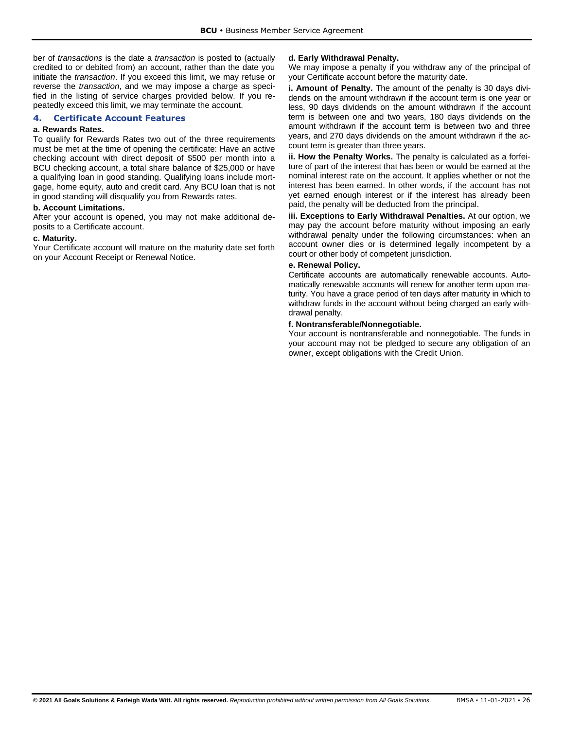ber of *transactions* is the date a *transaction* is posted to (actually credited to or debited from) an account, rather than the date you initiate the *transaction*. If you exceed this limit, we may refuse or reverse the *transaction*, and we may impose a charge as specified in the listing of service charges provided below. If you repeatedly exceed this limit, we may terminate the account.

## <span id="page-26-0"></span>**4. Certificate Account Features**

#### **a. Rewards Rates.**

To qualify for Rewards Rates two out of the three requirements must be met at the time of opening the certificate: Have an active checking account with direct deposit of \$500 per month into a BCU checking account, a total share balance of \$25,000 or have a qualifying loan in good standing. Qualifying loans include mortgage, home equity, auto and credit card. Any BCU loan that is not in good standing will disqualify you from Rewards rates.

## **b. Account Limitations.**

After your account is opened, you may not make additional deposits to a Certificate account.

#### **c. Maturity.**

Your Certificate account will mature on the maturity date set forth on your Account Receipt or Renewal Notice.

#### **d. Early Withdrawal Penalty.**

We may impose a penalty if you withdraw any of the principal of your Certificate account before the maturity date.

**i. Amount of Penalty.** The amount of the penalty is 30 days dividends on the amount withdrawn if the account term is one year or less, 90 days dividends on the amount withdrawn if the account term is between one and two years, 180 days dividends on the amount withdrawn if the account term is between two and three years, and 270 days dividends on the amount withdrawn if the account term is greater than three years.

**ii. How the Penalty Works.** The penalty is calculated as a forfeiture of part of the interest that has been or would be earned at the nominal interest rate on the account. It applies whether or not the interest has been earned. In other words, if the account has not yet earned enough interest or if the interest has already been paid, the penalty will be deducted from the principal.

**iii. Exceptions to Early Withdrawal Penalties.** At our option, we may pay the account before maturity without imposing an early withdrawal penalty under the following circumstances: when an account owner dies or is determined legally incompetent by a court or other body of competent jurisdiction.

#### **e. Renewal Policy.**

Certificate accounts are automatically renewable accounts. Automatically renewable accounts will renew for another term upon maturity. You have a grace period of ten days after maturity in which to withdraw funds in the account without being charged an early withdrawal penalty.

# **f. Nontransferable/Nonnegotiable.**

Your account is nontransferable and nonnegotiable. The funds in your account may not be pledged to secure any obligation of an owner, except obligations with the Credit Union.